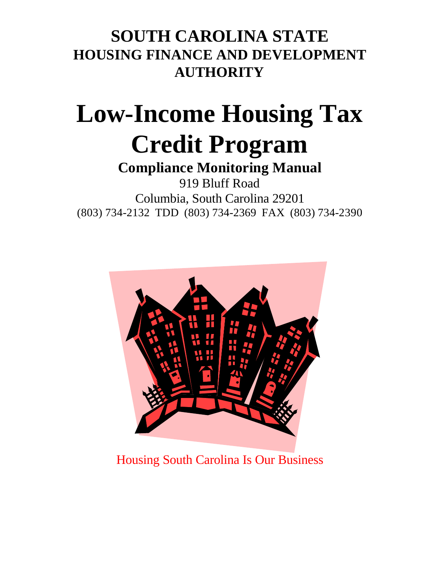# **SOUTH CAROLINA STATE HOUSING FINANCE AND DEVELOPMENT AUTHORITY**

# **Low-Income Housing Tax Credit Program**

# **Compliance Monitoring Manual**

919 Bluff Road Columbia, South Carolina 29201 (803) 734-2132 TDD (803) 734-2369 FAX (803) 734-2390



Housing South Carolina Is Our Business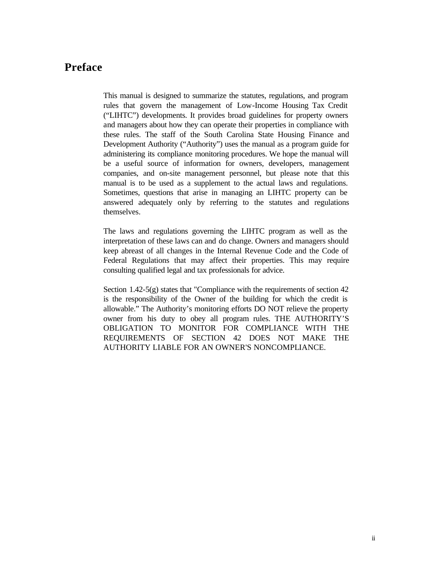# **Preface**

This manual is designed to summarize the statutes, regulations, and program rules that govern the management of Low-Income Housing Tax Credit ("LIHTC") developments. It provides broad guidelines for property owners and managers about how they can operate their properties in compliance with these rules. The staff of the South Carolina State Housing Finance and Development Authority ("Authority") uses the manual as a program guide for administering its compliance monitoring procedures. We hope the manual will be a useful source of information for owners, developers, management companies, and on-site management personnel, but please note that this manual is to be used as a supplement to the actual laws and regulations. Sometimes, questions that arise in managing an LIHTC property can be answered adequately only by referring to the statutes and regulations themselves.

The laws and regulations governing the LIHTC program as well as the interpretation of these laws can and do change. Owners and managers should keep abreast of all changes in the Internal Revenue Code and the Code of Federal Regulations that may affect their properties. This may require consulting qualified legal and tax professionals for advice.

Section 1.42-5 $(g)$  states that "Compliance with the requirements of section 42 is the responsibility of the Owner of the building for which the credit is allowable." The Authority's monitoring efforts DO NOT relieve the property owner from his duty to obey all program rules. THE AUTHORITY'S OBLIGATION TO MONITOR FOR COMPLIANCE WITH THE REQUIREMENTS OF SECTION 42 DOES NOT MAKE THE AUTHORITY LIABLE FOR AN OWNER'S NONCOMPLIANCE.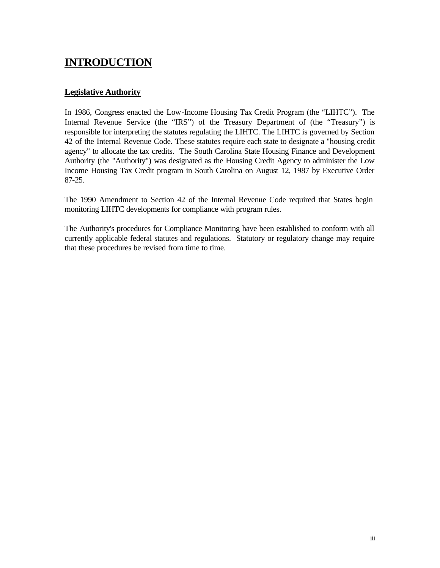# **INTRODUCTION**

# **Legislative Authority**

In 1986, Congress enacted the Low-Income Housing Tax Credit Program (the "LIHTC"). The Internal Revenue Service (the "IRS") of the Treasury Department of (the "Treasury") is responsible for interpreting the statutes regulating the LIHTC. The LIHTC is governed by Section 42 of the Internal Revenue Code. These statutes require each state to designate a "housing credit agency" to allocate the tax credits. The South Carolina State Housing Finance and Development Authority (the "Authority") was designated as the Housing Credit Agency to administer the Low Income Housing Tax Credit program in South Carolina on August 12, 1987 by Executive Order 87-25.

The 1990 Amendment to Section 42 of the Internal Revenue Code required that States begin monitoring LIHTC developments for compliance with program rules.

The Authority's procedures for Compliance Monitoring have been established to conform with all currently applicable federal statutes and regulations. Statutory or regulatory change may require that these procedures be revised from time to time.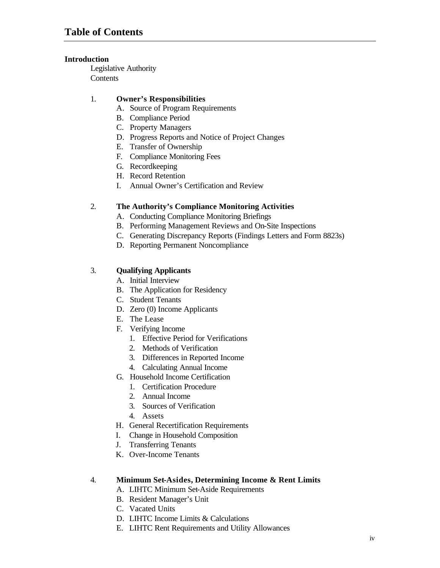## **Introduction**

Legislative Authority **Contents** 

## 1. **Owner's Responsibilities**

- A. Source of Program Requirements
- B. Compliance Period
- C. Property Managers
- D. Progress Reports and Notice of Project Changes
- E. Transfer of Ownership
- F. Compliance Monitoring Fees
- G. Recordkeeping
- H. Record Retention
- I. Annual Owner's Certification and Review

## 2. **The Authority's Compliance Monitoring Activities**

- A. Conducting Compliance Monitoring Briefings
- B. Performing Management Reviews and On-Site Inspections
- C. Generating Discrepancy Reports (Findings Letters and Form 8823s)
- D. Reporting Permanent Noncompliance

# 3. **Qualifying Applicants**

- A. Initial Interview
- B. The Application for Residency
- C. Student Tenants
- D. Zero (0) Income Applicants
- E. The Lease
- F. Verifying Income
	- 1. Effective Period for Verifications
	- 2. Methods of Verification
	- 3. Differences in Reported Income
	- 4. Calculating Annual Income
- G. Household Income Certification
	- 1. Certification Procedure
	- 2. Annual Income
	- 3. Sources of Verification
	- 4. Assets
- H. General Recertification Requirements
- I. Change in Household Composition
- J. Transferring Tenants
- K. Over-Income Tenants

#### 4. **Minimum Set-Asides, Determining Income & Rent Limits**

- A. LIHTC Minimum Set-Aside Requirements
- B. Resident Manager's Unit
- C. Vacated Units
- D. LIHTC Income Limits & Calculations
- E. LIHTC Rent Requirements and Utility Allowances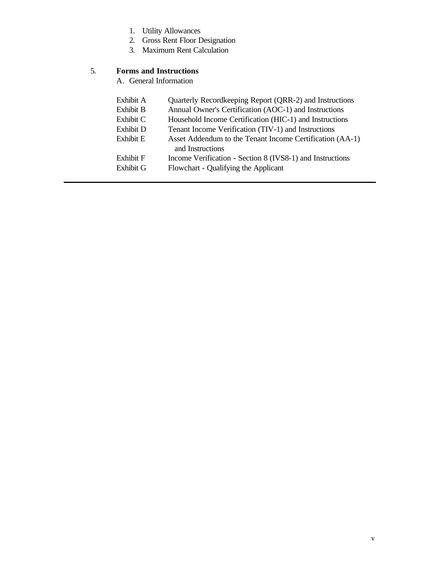- 1. Utility Allowances
- 2. Gross Rent Floor Designation
- 3. Maximum Rent Calculation

# 5. **Forms and Instructions**

A. General Information

| Exhibit A        | Quarterly Recordkeeping Report (QRR-2) and Instructions   |
|------------------|-----------------------------------------------------------|
| <b>Exhibit B</b> | Annual Owner's Certification (AOC-1) and Instructions     |
| Exhibit C        | Household Income Certification (HIC-1) and Instructions   |
| Exhibit D        | Tenant Income Verification (TIV-1) and Instructions       |
| Exhibit E        | Asset Addendum to the Tenant Income Certification (AA-1)  |
|                  | and Instructions                                          |
| Exhibit F        | Income Verification - Section 8 (IVS8-1) and Instructions |
| <b>Exhibit G</b> | Flowchart - Qualifying the Applicant                      |
|                  |                                                           |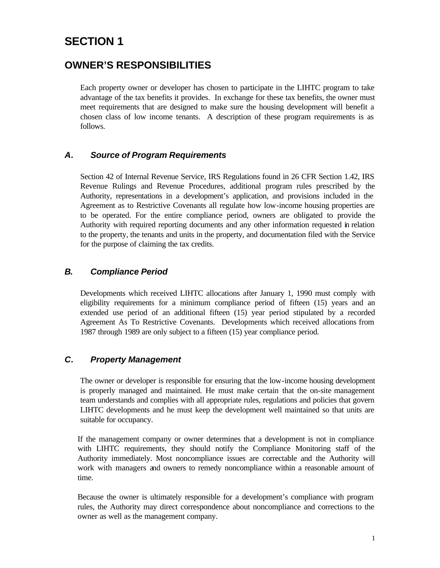# **SECTION 1**

# **OWNER'S RESPONSIBILITIES**

Each property owner or developer has chosen to participate in the LIHTC program to take advantage of the tax benefits it provides. In exchange for these tax benefits, the owner must meet requirements that are designed to make sure the housing development will benefit a chosen class of low income tenants. A description of these program requirements is as follows.

# *A. Source of Program Requirements*

Section 42 of Internal Revenue Service, IRS Regulations found in 26 CFR Section 1.42, IRS Revenue Rulings and Revenue Procedures, additional program rules prescribed by the Authority, representations in a development's application, and provisions included in the Agreement as to Restrictive Covenants all regulate how low-income housing properties are to be operated. For the entire compliance period, owners are obligated to provide the Authority with required reporting documents and any other information requested in relation to the property, the tenants and units in the property, and documentation filed with the Service for the purpose of claiming the tax credits.

# *B. Compliance Period*

Developments which received LIHTC allocations after January 1, 1990 must comply with eligibility requirements for a minimum compliance period of fifteen (15) years and an extended use period of an additional fifteen (15) year period stipulated by a recorded Agreement As To Restrictive Covenants. Developments which received allocations from 1987 through 1989 are only subject to a fifteen (15) year compliance period.

# *C. Property Management*

The owner or developer is responsible for ensuring that the low-income housing development is properly managed and maintained. He must make certain that the on-site management team understands and complies with all appropriate rules, regulations and policies that govern LIHTC developments and he must keep the development well maintained so that units are suitable for occupancy.

If the management company or owner determines that a development is not in compliance with LIHTC requirements, they should notify the Compliance Monitoring staff of the Authority immediately. Most noncompliance issues are correctable and the Authority will work with managers and owners to remedy noncompliance within a reasonable amount of time.

Because the owner is ultimately responsible for a development's compliance with program rules, the Authority may direct correspondence about noncompliance and corrections to the owner as well as the management company.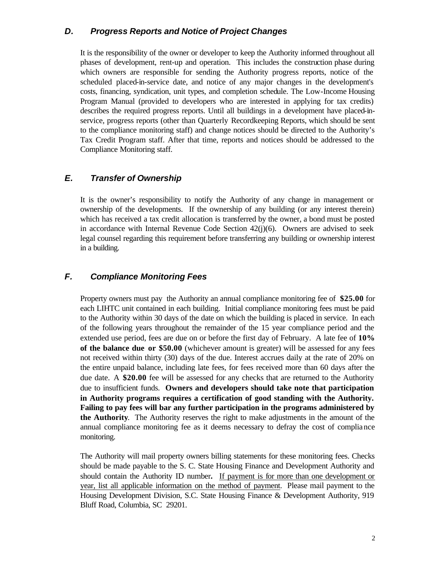# *D. Progress Reports and Notice of Project Changes*

It is the responsibility of the owner or developer to keep the Authority informed throughout all phases of development, rent-up and operation. This includes the construction phase during which owners are responsible for sending the Authority progress reports, notice of the scheduled placed-in-service date, and notice of any major changes in the development's costs, financing, syndication, unit types, and completion schedule. The Low-Income Housing Program Manual (provided to developers who are interested in applying for tax credits) describes the required progress reports. Until all buildings in a development have placed-inservice, progress reports (other than Quarterly Recordkeeping Reports, which should be sent to the compliance monitoring staff) and change notices should be directed to the Authority's Tax Credit Program staff. After that time, reports and notices should be addressed to the Compliance Monitoring staff.

# *E. Transfer of Ownership*

It is the owner's responsibility to notify the Authority of any change in management or ownership of the developments. If the ownership of any building (or any interest therein) which has received a tax credit allocation is transferred by the owner, a bond must be posted in accordance with Internal Revenue Code Section  $42(j)(6)$ . Owners are advised to seek legal counsel regarding this requirement before transferring any building or ownership interest in a building.

# *F. Compliance Monitoring Fees*

Property owners must pay the Authority an annual compliance monitoring fee of **\$25.00** for each LIHTC unit contained in each building. Initial compliance monitoring fees must be paid to the Authority within 30 days of the date on which the building is placed in service. In each of the following years throughout the remainder of the 15 year compliance period and the extended use period, fees are due on or before the first day of February. A late fee of **10% of the balance due or \$50.00** (whichever amount is greater) will be assessed for any fees not received within thirty (30) days of the due. Interest accrues daily at the rate of 20% on the entire unpaid balance, including late fees, for fees received more than 60 days after the due date. A **\$20.00** fee will be assessed for any checks that are returned to the Authority due to insufficient funds. **Owners and developers should take note that participation in Authority programs requires a certification of good standing with the Authority. Failing to pay fees will bar any further participation in the programs administered by the Authority**. The Authority reserves the right to make adjustments in the amount of the annual compliance monitoring fee as it deems necessary to defray the cost of compliance monitoring.

The Authority will mail property owners billing statements for these monitoring fees. Checks should be made payable to the S. C. State Housing Finance and Development Authority and should contain the Authority ID number**.** If payment is for more than one development or year, list all applicable information on the method of payment. Please mail payment to the Housing Development Division, S.C. State Housing Finance & Development Authority, 919 Bluff Road, Columbia, SC 29201.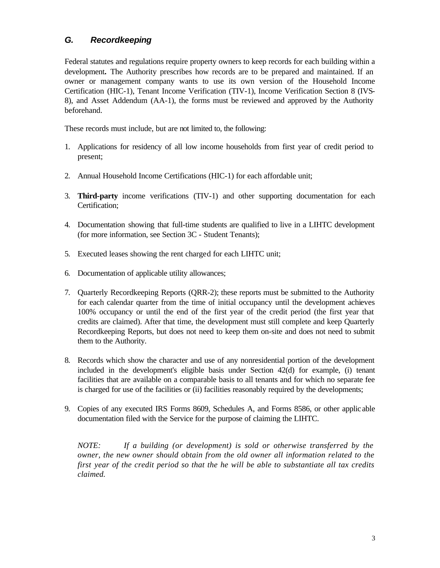# *G. Recordkeeping*

Federal statutes and regulations require property owners to keep records for each building within a development**.** The Authority prescribes how records are to be prepared and maintained. If an owner or management company wants to use its own version of the Household Income Certification (HIC-1), Tenant Income Verification (TIV-1), Income Verification Section 8 (IVS-8), and Asset Addendum (AA-1), the forms must be reviewed and approved by the Authority beforehand.

These records must include, but are not limited to, the following:

- 1. Applications for residency of all low income households from first year of credit period to present;
- 2. Annual Household Income Certifications (HIC-1) for each affordable unit;
- 3. **Third-party** income verifications (TIV-1) and other supporting documentation for each Certification;
- 4. Documentation showing that full-time students are qualified to live in a LIHTC development (for more information, see Section 3C - Student Tenants);
- 5. Executed leases showing the rent charged for each LIHTC unit;
- 6. Documentation of applicable utility allowances;
- 7. Quarterly Recordkeeping Reports (QRR-2); these reports must be submitted to the Authority for each calendar quarter from the time of initial occupancy until the development achieves 100% occupancy or until the end of the first year of the credit period (the first year that credits are claimed). After that time, the development must still complete and keep Quarterly Recordkeeping Reports, but does not need to keep them on-site and does not need to submit them to the Authority.
- 8. Records which show the character and use of any nonresidential portion of the development included in the development's eligible basis under Section 42(d) for example, (i) tenant facilities that are available on a comparable basis to all tenants and for which no separate fee is charged for use of the facilities or (ii) facilities reasonably required by the developments;
- 9. Copies of any executed IRS Forms 8609, Schedules A, and Forms 8586, or other applic able documentation filed with the Service for the purpose of claiming the LIHTC.

*NOTE: If a building (or development) is sold or otherwise transferred by the owner, the new owner should obtain from the old owner all information related to the first year of the credit period so that the he will be able to substantiate all tax credits claimed.*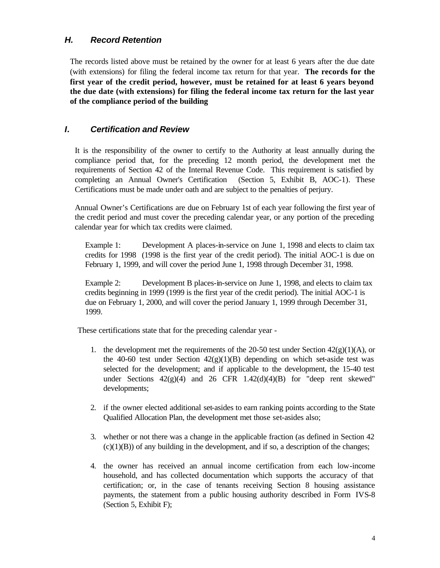# *H. Record Retention*

The records listed above must be retained by the owner for at least 6 years after the due date (with extensions) for filing the federal income tax return for that year. **The records for the first year of the credit period, however, must be retained for at least 6 years beyond the due date (with extensions) for filing the federal income tax return for the last year of the compliance period of the building**

# *I. Certification and Review*

It is the responsibility of the owner to certify to the Authority at least annually during the compliance period that, for the preceding 12 month period, the development met the requirements of Section 42 of the Internal Revenue Code. This requirement is satisfied by completing an Annual Owner's Certification (Section 5, Exhibit B, AOC-1). These Certifications must be made under oath and are subject to the penalties of perjury.

Annual Owner's Certifications are due on February 1st of each year following the first year of the credit period and must cover the preceding calendar year, or any portion of the preceding calendar year for which tax credits were claimed.

Example 1: Development A places-in-service on June 1, 1998 and elects to claim tax credits for 1998 (1998 is the first year of the credit period). The initial AOC-1 is due on February 1, 1999, and will cover the period June 1, 1998 through December 31, 1998.

Example 2: Development B places-in-service on June 1, 1998, and elects to claim tax credits beginning in 1999 (1999 is the first year of the credit period). The initial AOC-1 is due on February 1, 2000, and will cover the period January 1, 1999 through December 31, 1999.

These certifications state that for the preceding calendar year -

- 1. the development met the requirements of the 20-50 test under Section  $42(g)(1)(A)$ , or the 40-60 test under Section  $42(g)(1)(B)$  depending on which set-aside test was selected for the development; and if applicable to the development, the 15-40 test under Sections  $42(g)(4)$  and  $26$  CFR  $1.42(d)(4)(B)$  for "deep rent skewed" developments;
- 2. if the owner elected additional set-asides to earn ranking points according to the State Qualified Allocation Plan, the development met those set-asides also;
- 3. whether or not there was a change in the applicable fraction (as defined in Section 42  $(c)(1)(B)$  of any building in the development, and if so, a description of the changes;
- 4. the owner has received an annual income certification from each low-income household, and has collected documentation which supports the accuracy of that certification; or, in the case of tenants receiving Section 8 housing assistance payments, the statement from a public housing authority described in Form IVS-8 (Section 5, Exhibit F);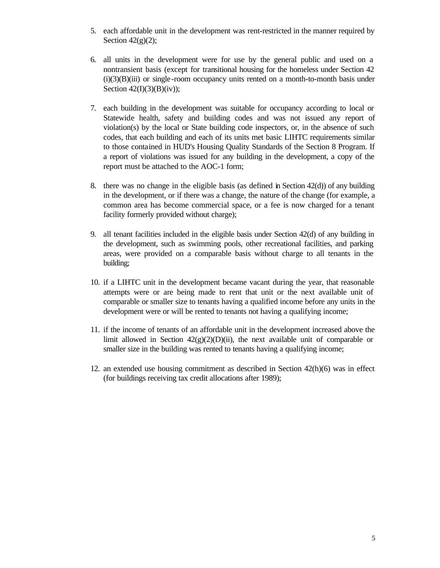- 5. each affordable unit in the development was rent-restricted in the manner required by Section  $42(g)(2)$ ;
- 6. all units in the development were for use by the general public and used on a nontransient basis (except for transitional housing for the homeless under Section 42  $(i)(3)(B)(iii)$  or single-room occupancy units rented on a month-to-month basis under Section  $42(I)(3)(B)(iv)$ ;
- 7. each building in the development was suitable for occupancy according to local or Statewide health, safety and building codes and was not issued any report of violation(s) by the local or State building code inspectors, or, in the absence of such codes, that each building and each of its units met basic LIHTC requirements similar to those contained in HUD's Housing Quality Standards of the Section 8 Program. If a report of violations was issued for any building in the development, a copy of the report must be attached to the AOC-1 form;
- 8. there was no change in the eligible basis (as defined in Section  $42(d)$ ) of any building in the development, or if there was a change, the nature of the change (for example, a common area has become commercial space, or a fee is now charged for a tenant facility formerly provided without charge);
- 9. all tenant facilities included in the eligible basis under Section 42(d) of any building in the development, such as swimming pools, other recreational facilities, and parking areas, were provided on a comparable basis without charge to all tenants in the building;
- 10. if a LIHTC unit in the development became vacant during the year, that reasonable attempts were or are being made to rent that unit or the next available unit of comparable or smaller size to tenants having a qualified income before any units in the development were or will be rented to tenants not having a qualifying income;
- 11. if the income of tenants of an affordable unit in the development increased above the limit allowed in Section  $42(g)(2)(D)(ii)$ , the next available unit of comparable or smaller size in the building was rented to tenants having a qualifying income;
- 12. an extended use housing commitment as described in Section 42(h)(6) was in effect (for buildings receiving tax credit allocations after 1989);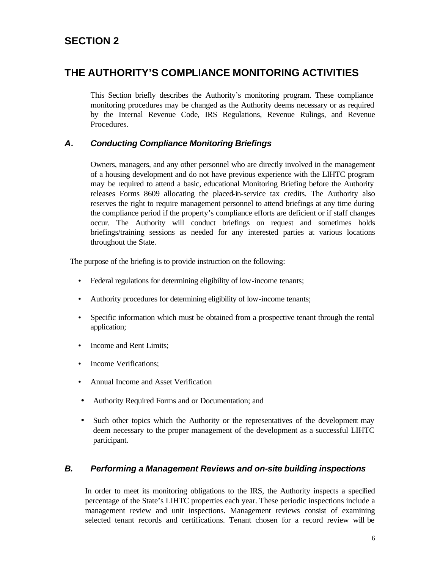# **SECTION 2**

# **THE AUTHORITY'S COMPLIANCE MONITORING ACTIVITIES**

This Section briefly describes the Authority's monitoring program. These compliance monitoring procedures may be changed as the Authority deems necessary or as required by the Internal Revenue Code, IRS Regulations, Revenue Rulings, and Revenue Procedures.

# *A. Conducting Compliance Monitoring Briefings*

Owners, managers, and any other personnel who are directly involved in the management of a housing development and do not have previous experience with the LIHTC program may be required to attend a basic, educational Monitoring Briefing before the Authority releases Forms 8609 allocating the placed-in-service tax credits. The Authority also reserves the right to require management personnel to attend briefings at any time during the compliance period if the property's compliance efforts are deficient or if staff changes occur. The Authority will conduct briefings on request and sometimes holds briefings/training sessions as needed for any interested parties at various locations throughout the State.

The purpose of the briefing is to provide instruction on the following:

- Federal regulations for determining eligibility of low-income tenants;
- Authority procedures for determining eligibility of low-income tenants;
- Specific information which must be obtained from a prospective tenant through the rental application;
- Income and Rent Limits:
- Income Verifications;
- Annual Income and Asset Verification
- Authority Required Forms and or Documentation; and
- Such other topics which the Authority or the representatives of the development may deem necessary to the proper management of the development as a successful LIHTC participant.

# *B. Performing a Management Reviews and on-site building inspections*

In order to meet its monitoring obligations to the IRS, the Authority inspects a specified percentage of the State's LIHTC properties each year. These periodic inspections include a management review and unit inspections. Management reviews consist of examining selected tenant records and certifications. Tenant chosen for a record review will be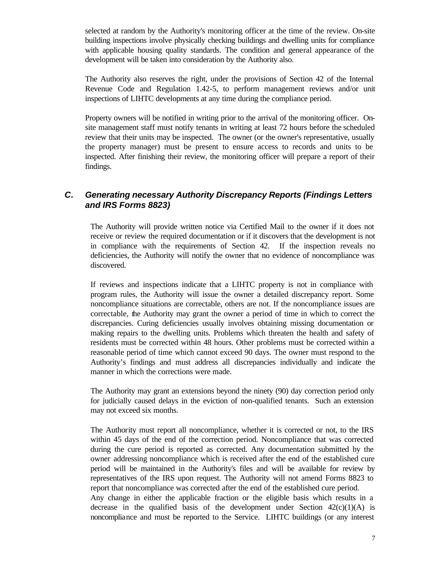selected at random by the Authority's monitoring officer at the time of the review. On-site building inspections involve physically checking buildings and dwelling units for compliance with applicable housing quality standards. The condition and general appearance of the development will be taken into consideration by the Authority also.

The Authority also reserves the right, under the provisions of Section 42 of the Internal Revenue Code and Regulation 1.42-5, to perform management reviews and/or unit inspections of LIHTC developments at any time during the compliance period.

Property owners will be notified in writing prior to the arrival of the monitoring officer. Onsite management staff must notify tenants in writing at least 72 hours before the scheduled review that their units may be inspected. The owner (or the owner's representative, usually the property manager) must be present to ensure access to records and units to be inspected. After finishing their review, the monitoring officer will prepare a report of their findings.

# *C. Generating necessary Authority Discrepancy Reports (Findings Letters and IRS Forms 8823)*

The Authority will provide written notice via Certified Mail to the owner if it does not receive or review the required documentation or if it discovers that the development is not in compliance with the requirements of Section 42. If the inspection reveals no deficiencies, the Authority will notify the owner that no evidence of noncompliance was discovered.

If reviews and inspections indicate that a LIHTC property is not in compliance with program rules, the Authority will issue the owner a detailed discrepancy report. Some noncompliance situations are correctable, others are not. If the noncompliance issues are correctable, the Authority may grant the owner a period of time in which to correct the discrepancies. Curing deficiencies usually involves obtaining missing documentation or making repairs to the dwelling units. Problems which threaten the health and safety of residents must be corrected within 48 hours. Other problems must be corrected within a reasonable period of time which cannot exceed 90 days. The owner must respond to the Authority's findings and must address all discrepancies individually and indicate the manner in which the corrections were made.

The Authority may grant an extensions beyond the ninety (90) day correction period only for judicially caused delays in the eviction of non-qualified tenants. Such an extension may not exceed six months.

The Authority must report all noncompliance, whether it is corrected or not, to the IRS within 45 days of the end of the correction period. Noncompliance that was corrected during the cure period is reported as corrected. Any documentation submitted by the owner addressing noncompliance which is received after the end of the established cure period will be maintained in the Authority's files and will be available for review by representatives of the IRS upon request. The Authority will not amend Forms 8823 to report that noncompliance was corrected after the end of the established cure period. Any change in either the applicable fraction or the eligible basis which results in a decrease in the qualified basis of the development under Section  $42(c)(1)(A)$  is noncompliance and must be reported to the Service. LIHTC buildings (or any interest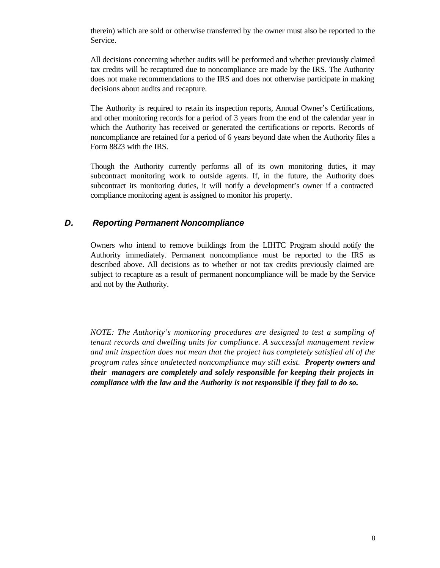therein) which are sold or otherwise transferred by the owner must also be reported to the Service.

All decisions concerning whether audits will be performed and whether previously claimed tax credits will be recaptured due to noncompliance are made by the IRS. The Authority does not make recommendations to the IRS and does not otherwise participate in making decisions about audits and recapture.

The Authority is required to retain its inspection reports, Annual Owner's Certifications, and other monitoring records for a period of 3 years from the end of the calendar year in which the Authority has received or generated the certifications or reports. Records of noncompliance are retained for a period of 6 years beyond date when the Authority files a Form 8823 with the IRS.

Though the Authority currently performs all of its own monitoring duties, it may subcontract monitoring work to outside agents. If, in the future, the Authority does subcontract its monitoring duties, it will notify a development's owner if a contracted compliance monitoring agent is assigned to monitor his property.

#### *D. Reporting Permanent Noncompliance*

Owners who intend to remove buildings from the LIHTC Program should notify the Authority immediately. Permanent noncompliance must be reported to the IRS as described above. All decisions as to whether or not tax credits previously claimed are subject to recapture as a result of permanent noncompliance will be made by the Service and not by the Authority.

*NOTE: The Authority's monitoring procedures are designed to test a sampling of tenant records and dwelling units for compliance. A successful management review and unit inspection does not mean that the project has completely satisfied all of the program rules since undetected noncompliance may still exist. Property owners and their managers are completely and solely responsible for keeping their projects in compliance with the law and the Authority is not responsible if they fail to do so.*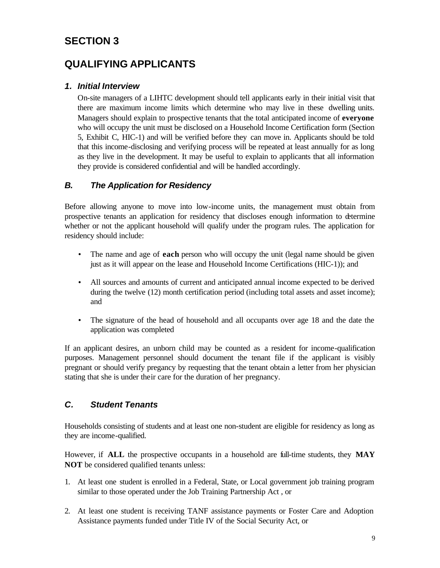# **SECTION 3**

# **QUALIFYING APPLICANTS**

# *1. Initial Interview*

On-site managers of a LIHTC development should tell applicants early in their initial visit that there are maximum income limits which determine who may live in these dwelling units. Managers should explain to prospective tenants that the total anticipated income of **everyone** who will occupy the unit must be disclosed on a Household Income Certification form (Section 5, Exhibit C, HIC-1) and will be verified before they can move in. Applicants should be told that this income-disclosing and verifying process will be repeated at least annually for as long as they live in the development. It may be useful to explain to applicants that all information they provide is considered confidential and will be handled accordingly.

# *B. The Application for Residency*

Before allowing anyone to move into low-income units, the management must obtain from prospective tenants an application for residency that discloses enough information to determine whether or not the applicant household will qualify under the program rules. The application for residency should include:

- The name and age of **each** person who will occupy the unit (legal name should be given just as it will appear on the lease and Household Income Certifications (HIC-1)); and
- All sources and amounts of current and anticipated annual income expected to be derived during the twelve (12) month certification period (including total assets and asset income); and
- The signature of the head of household and all occupants over age 18 and the date the application was completed

If an applicant desires, an unborn child may be counted as a resident for income-qualification purposes. Management personnel should document the tenant file if the applicant is visibly pregnant or should verify pregancy by requesting that the tenant obtain a letter from her physician stating that she is under their care for the duration of her pregnancy.

# *C. Student Tenants*

Households consisting of students and at least one non-student are eligible for residency as long as they are income-qualified.

However, if **ALL** the prospective occupants in a household are full-time students, they **MAY NOT** be considered qualified tenants unless:

- 1. At least one student is enrolled in a Federal, State, or Local government job training program similar to those operated under the Job Training Partnership Act , or
- 2. At least one student is receiving TANF assistance payments or Foster Care and Adoption Assistance payments funded under Title IV of the Social Security Act, or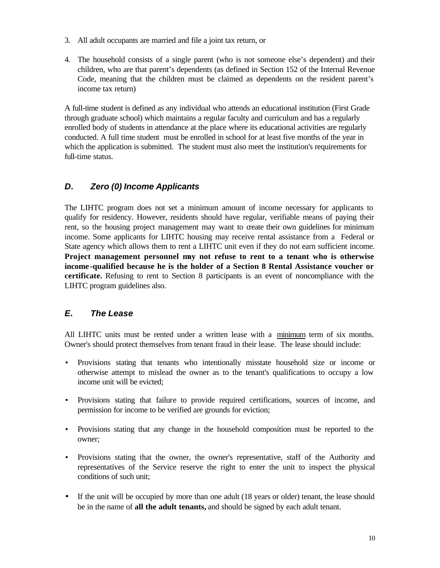- 3. All adult occupants are married and file a joint tax return, or
- 4. The household consists of a single parent (who is not someone else's dependent) and their children, who are that parent's dependents (as defined in Section 152 of the Internal Revenue Code, meaning that the children must be claimed as dependents on the resident parent's income tax return)

A full-time student is defined as any individual who attends an educational institution (First Grade through graduate school) which maintains a regular faculty and curriculum and has a regularly enrolled body of students in attendance at the place where its educational activities are regularly conducted. A full time student must be enrolled in school for at least five months of the year in which the application is submitted. The student must also meet the institution's requirements for full-time status.

# *D. Zero (0) Income Applicants*

The LIHTC program does not set a minimum amount of income necessary for applicants to qualify for residency. However, residents should have regular, verifiable means of paying their rent, so the housing project management may want to create their own guidelines for minimum income. Some applicants for LIHTC housing may receive rental assistance from a Federal or State agency which allows them to rent a LIHTC unit even if they do not earn sufficient income. **Project management personnel may not refuse to rent to a tenant who is otherwise income -qualified because he is the holder of a Section 8 Rental Assistance voucher or certificate.** Refusing to rent to Section 8 participants is an event of noncompliance with the LIHTC program guidelines also.

# *E. The Lease*

All LIHTC units must be rented under a written lease with a minimum term of six months. Owner's should protect themselves from tenant fraud in their lease. The lease should include:

- Provisions stating that tenants who intentionally misstate household size or income or otherwise attempt to mislead the owner as to the tenant's qualifications to occupy a low income unit will be evicted;
- Provisions stating that failure to provide required certifications, sources of income, and permission for income to be verified are grounds for eviction;
- Provisions stating that any change in the household composition must be reported to the owner;
- Provisions stating that the owner, the owner's representative, staff of the Authority and representatives of the Service reserve the right to enter the unit to inspect the physical conditions of such unit;
- If the unit will be occupied by more than one adult (18 years or older) tenant, the lease should be in the name of **all the adult tenants,** and should be signed by each adult tenant.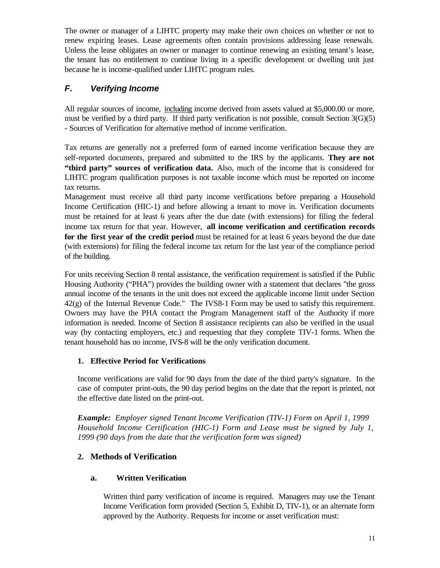The owner or manager of a LIHTC property may make their own choices on whether or not to renew expiring leases. Lease agreements often contain provisions addressing lease renewals. Unless the lease obligates an owner or manager to continue renewing an existing tenant's lease, the tenant has no entitlement to continue living in a specific development or dwelling unit just because he is income-qualified under LIHTC program rules.

# *F. Verifying Income*

All regular sources of income, including income derived from assets valued at \$5,000.00 or more, must be verified by a third party. If third party verification is not possible, consult Section 3(G)(5) - Sources of Verification for alternative method of income verification.

Tax returns are generally not a preferred form of earned income verification because they are self-reported documents, prepared and submitted to the IRS by the applicants. **They are not "third party" sources of verification data.** Also, much of the income that is considered for LIHTC program qualification purposes is not taxable income which must be reported on income tax returns.

Management must receive all third party income verifications before preparing a Household Income Certification (HIC-1) and before allowing a tenant to move in. Verification documents must be retained for at least 6 years after the due date (with extensions) for filing the federal income tax return for that year. However, **all income verification and certification records for the first year of the credit period** must be retained for at least 6 years beyond the due date (with extensions) for filing the federal income tax return for the last year of the compliance period of the building.

For units receiving Section 8 rental assistance, the verification requirement is satisfied if the Public Housing Authority ("PHA") provides the building owner with a statement that declares "the gross annual income of the tenants in the unit does not exceed the applicable income limit under Section 42(g) of the Internal Revenue Code." The IVS8-1 Form may be used to satisfy this requirement. Owners may have the PHA contact the Program Management staff of the Authority if more information is needed. Income of Section 8 assistance recipients can also be verified in the usual way (by contacting employers, etc.) and requesting that they complete TIV-1 forms. When the tenant household has no income, IVS-8 will be the only verification document.

# **1. Effective Period for Verifications**

Income verifications are valid for 90 days from the date of the third party's signature. In the case of computer print-outs, the 90 day period begins on the date that the report is printed, not the effective date listed on the print-out.

*Example: Employer signed Tenant Income Verification (TIV-1) Form on April 1, 1999 Household Income Certification (HIC-1) Form and Lease must be signed by July 1, 1999 (90 days from the date that the verification form was signed)*

# **2. Methods of Verification**

# **a. Written Verification**

Written third party verification of income is required. Managers may use the Tenant Income Verification form provided (Section 5, Exhibit D, TIV-1), or an alternate form approved by the Authority. Requests for income or asset verification must: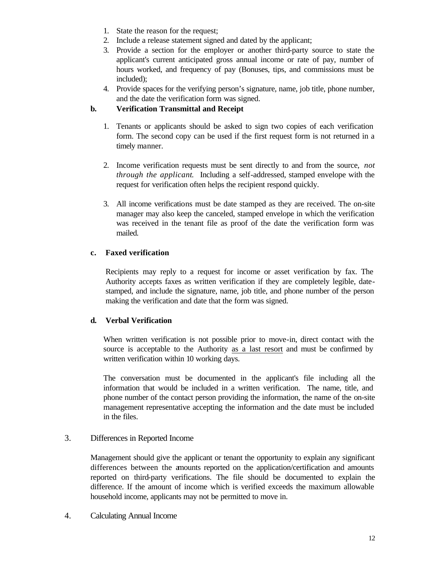- 1. State the reason for the request;
- 2. Include a release statement signed and dated by the applicant;
- 3. Provide a section for the employer or another third-party source to state the applicant's current anticipated gross annual income or rate of pay, number of hours worked, and frequency of pay (Bonuses, tips, and commissions must be included);
- 4. Provide spaces for the verifying person's signature, name, job title, phone number, and the date the verification form was signed.

#### **b. Verification Transmittal and Receipt**

- 1. Tenants or applicants should be asked to sign two copies of each verification form. The second copy can be used if the first request form is not returned in a timely manner.
- 2. Income verification requests must be sent directly to and from the source, *not through the applicant*. Including a self-addressed, stamped envelope with the request for verification often helps the recipient respond quickly.
- 3. All income verifications must be date stamped as they are received. The on-site manager may also keep the canceled, stamped envelope in which the verification was received in the tenant file as proof of the date the verification form was mailed.

#### **c. Faxed verification**

Recipients may reply to a request for income or asset verification by fax. The Authority accepts faxes as written verification if they are completely legible, datestamped, and include the signature, name, job title, and phone number of the person making the verification and date that the form was signed.

#### **d. Verbal Verification**

When written verification is not possible prior to move-in, direct contact with the source is acceptable to the Authority as a last resort and must be confirmed by written verification within 10 working days.

The conversation must be documented in the applicant's file including all the information that would be included in a written verification. The name, title, and phone number of the contact person providing the information, the name of the on-site management representative accepting the information and the date must be included in the files.

#### 3. Differences in Reported Income

Management should give the applicant or tenant the opportunity to explain any significant differences between the amounts reported on the application/certification and amounts reported on third-party verifications. The file should be documented to explain the difference. If the amount of income which is verified exceeds the maximum allowable household income, applicants may not be permitted to move in.

4. Calculating Annual Income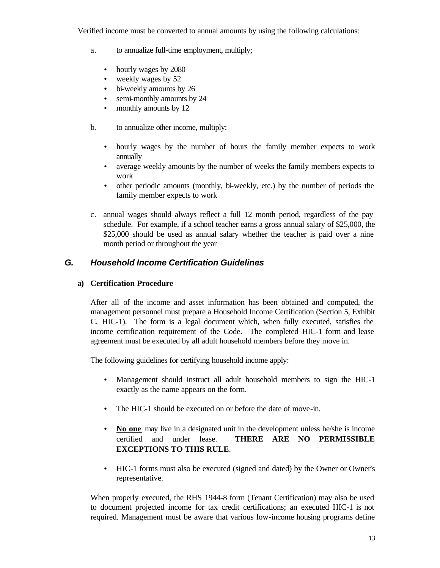Verified income must be converted to annual amounts by using the following calculations:

- a. to annualize full-time employment, multiply;
	- hourly wages by 2080
	- weekly wages by 52
	- bi-weekly amounts by 26
	- semi-monthly amounts by 24
	- monthly amounts by 12
- b. to annualize other income, multiply:
	- hourly wages by the number of hours the family member expects to work annually
	- average weekly amounts by the number of weeks the family members expects to work
	- other periodic amounts (monthly, bi-weekly, etc.) by the number of periods the family member expects to work
- c. annual wages should always reflect a full 12 month period, regardless of the pay schedule. For example, if a school teacher earns a gross annual salary of \$25,000, the \$25,000 should be used as annual salary whether the teacher is paid over a nine month period or throughout the year

# *G. Household Income Certification Guidelines*

#### **a) Certification Procedure**

After all of the income and asset information has been obtained and computed, the management personnel must prepare a Household Income Certification (Section 5, Exhibit C, HIC-1). The form is a legal document which, when fully executed, satisfies the income certification requirement of the Code. The completed HIC-1 form and lease agreement must be executed by all adult household members before they move in.

The following guidelines for certifying household income apply:

- Management should instruct all adult household members to sign the HIC-1 exactly as the name appears on the form.
- The HIC-1 should be executed on or before the date of move-in.
- **No one** may live in a designated unit in the development unless he/she is income certified and under lease. **THERE ARE NO PERMISSIBLE EXCEPTIONS TO THIS RULE**.
- HIC-1 forms must also be executed (signed and dated) by the Owner or Owner's representative.

When properly executed, the RHS 1944-8 form (Tenant Certification) may also be used to document projected income for tax credit certifications; an executed HIC-1 is not required. Management must be aware that various low-income housing programs define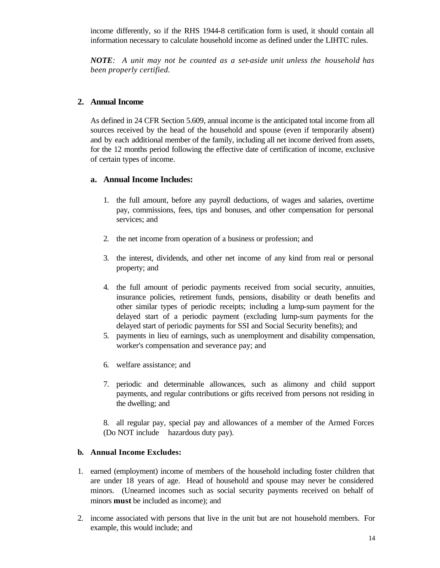income differently, so if the RHS 1944-8 certification form is used, it should contain all information necessary to calculate household income as defined under the LIHTC rules.

*NOTE: A unit may not be counted as a set-aside unit unless the household has been properly certified.*

#### **2. Annual Income**

As defined in 24 CFR Section 5.609, annual income is the anticipated total income from all sources received by the head of the household and spouse (even if temporarily absent) and by each additional member of the family, including all net income derived from assets, for the 12 months period following the effective date of certification of income, exclusive of certain types of income.

#### **a. Annual Income Includes:**

- 1. the full amount, before any payroll deductions, of wages and salaries, overtime pay, commissions, fees, tips and bonuses, and other compensation for personal services; and
- 2. the net income from operation of a business or profession; and
- 3. the interest, dividends, and other net income of any kind from real or personal property; and
- 4. the full amount of periodic payments received from social security, annuities, insurance policies, retirement funds, pensions, disability or death benefits and other similar types of periodic receipts; including a lump-sum payment for the delayed start of a periodic payment (excluding lump-sum payments for the delayed start of periodic payments for SSI and Social Security benefits); and
- 5. payments in lieu of earnings, such as unemployment and disability compensation, worker's compensation and severance pay; and
- 6. welfare assistance; and
- 7. periodic and determinable allowances, such as alimony and child support payments, and regular contributions or gifts received from persons not residing in the dwelling; and

8. all regular pay, special pay and allowances of a member of the Armed Forces (Do NOT include hazardous duty pay).

#### **b. Annual Income Excludes:**

- 1. earned (employment) income of members of the household including foster children that are under 18 years of age. Head of household and spouse may never be considered minors. (Unearned incomes such as social security payments received on behalf of minors **must** be included as income); and
- 2. income associated with persons that live in the unit but are not household members. For example, this would include; and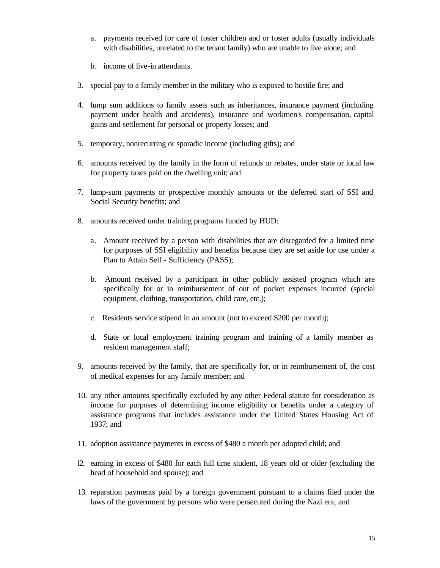- a. payments received for care of foster children and or foster adults (usually individuals with disabilities, unrelated to the tenant family) who are unable to live alone; and
- b. income of live-in attendants.
- 3. special pay to a family member in the military who is exposed to hostile fire; and
- 4. lump sum additions to family assets such as inheritances, insurance payment (including payment under health and accidents), insurance and workmen's compensation, capital gains and settlement for personal or property losses; and
- 5. temporary, nonrecurring or sporadic income (including gifts); and
- 6. amounts received by the family in the form of refunds or rebates, under state or local law for property taxes paid on the dwelling unit; and
- 7. lump-sum payments or prospective monthly amounts or the deferred start of SSI and Social Security benefits; and
- 8. amounts received under training programs funded by HUD:
	- a. Amount received by a person with disabilities that are disregarded for a limited time for purposes of SSI eligibility and benefits because they are set aside for use under a Plan to Attain Self - Sufficiency (PASS);
	- b. Amount received by a participant in other publicly assisted program which are specifically for or in reimbursement of out of pocket expenses incurred (special equipment, clothing, transportation, child care, etc.);
	- c. Residents service stipend in an amount (not to exceed \$200 per month);
	- d. State or local employment training program and training of a family member as resident management staff;
- 9. amounts received by the family, that are specifically for, or in reimbursement of, the cost of medical expenses for any family member; and
- 10. any other amounts specifically excluded by any other Federal statute for consideration as income for purposes of determining income eligibility or benefits under a category of assistance programs that includes assistance under the United States Housing Act of 1937; and
- 11. adoption assistance payments in excess of \$480 a month per adopted child; and
- l2. earning in excess of \$480 for each full time student, 18 years old or older (excluding the head of household and spouse); and
- 13. reparation payments paid by a foreign government pursuant to a claims filed under the laws of the government by persons who were persecuted during the Nazi era; and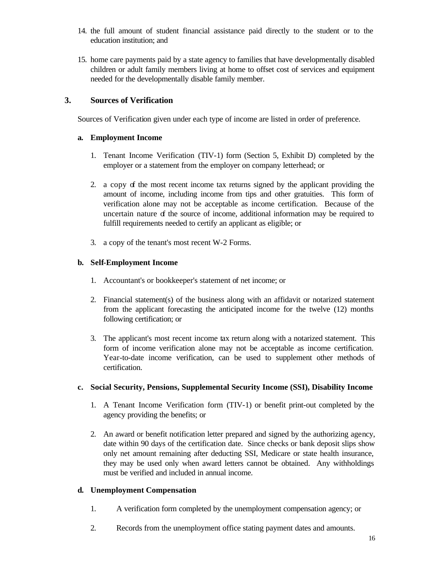- 14. the full amount of student financial assistance paid directly to the student or to the education institution; and
- 15. home care payments paid by a state agency to families that have developmentally disabled children or adult family members living at home to offset cost of services and equipment needed for the developmentally disable family member.

## **3. Sources of Verification**

Sources of Verification given under each type of income are listed in order of preference.

#### **a. Employment Income**

- 1. Tenant Income Verification (TIV-1) form (Section 5, Exhibit D) completed by the employer or a statement from the employer on company letterhead; or
- 2. a copy of the most recent income tax returns signed by the applicant providing the amount of income, including income from tips and other gratuities. This form of verification alone may not be acceptable as income certification. Because of the uncertain nature  $\sigma$  the source of income, additional information may be required to fulfill requirements needed to certify an applicant as eligible; or
- 3. a copy of the tenant's most recent W-2 Forms.

#### **b. Self-Employment Income**

- 1. Accountant's or bookkeeper's statement of net income; or
- 2. Financial statement(s) of the business along with an affidavit or notarized statement from the applicant forecasting the anticipated income for the twelve (12) months following certification; or
- 3. The applicant's most recent income tax return along with a notarized statement. This form of income verification alone may not be acceptable as income certification. Year-to-date income verification, can be used to supplement other methods of certification.

#### **c. Social Security, Pensions, Supplemental Security Income (SSI), Disability Income**

- 1. A Tenant Income Verification form (TIV-1) or benefit print-out completed by the agency providing the benefits; or
- 2. An award or benefit notification letter prepared and signed by the authorizing agency, date within 90 days of the certification date. Since checks or bank deposit slips show only net amount remaining after deducting SSI, Medicare or state health insurance, they may be used only when award letters cannot be obtained. Any withholdings must be verified and included in annual income.

#### **d. Unemployment Compensation**

- 1. A verification form completed by the unemployment compensation agency; or
- 2. Records from the unemployment office stating payment dates and amounts.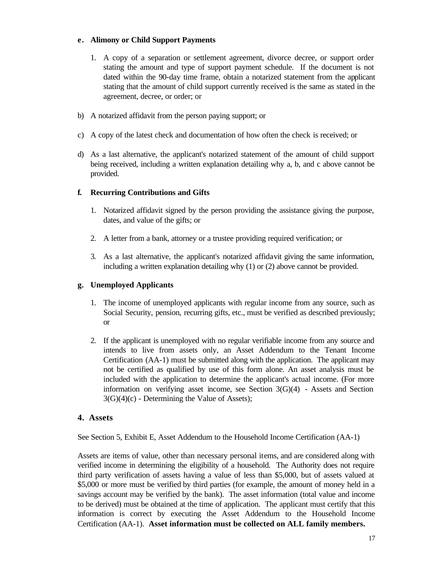#### **e. Alimony or Child Support Payments**

- 1. A copy of a separation or settlement agreement, divorce decree, or support order stating the amount and type of support payment schedule. If the document is not dated within the 90-day time frame, obtain a notarized statement from the applicant stating that the amount of child support currently received is the same as stated in the agreement, decree, or order; or
- b) A notarized affidavit from the person paying support; or
- c) A copy of the latest check and documentation of how often the check is received; or
- d) As a last alternative, the applicant's notarized statement of the amount of child support being received, including a written explanation detailing why a, b, and c above cannot be provided.

#### **f. Recurring Contributions and Gifts**

- 1. Notarized affidavit signed by the person providing the assistance giving the purpose, dates, and value of the gifts; or
- 2. A letter from a bank, attorney or a trustee providing required verification; or
- 3. As a last alternative, the applicant's notarized affidavit giving the same information, including a written explanation detailing why (1) or (2) above cannot be provided.

#### **g. Unemployed Applicants**

- 1. The income of unemployed applicants with regular income from any source, such as Social Security, pension, recurring gifts, etc., must be verified as described previously; or
- 2. If the applicant is unemployed with no regular verifiable income from any source and intends to live from assets only, an Asset Addendum to the Tenant Income Certification (AA-1) must be submitted along with the application. The applicant may not be certified as qualified by use of this form alone. An asset analysis must be included with the application to determine the applicant's actual income. (For more information on verifying asset income, see Section  $3(G)(4)$  - Assets and Section 3(G)(4)(c) - Determining the Value of Assets);

#### **4. Assets**

See Section 5, Exhibit E, Asset Addendum to the Household Income Certification (AA-1)

Assets are items of value, other than necessary personal items, and are considered along with verified income in determining the eligibility of a household. The Authority does not require third party verification of assets having a value of less than \$5,000, but of assets valued at \$5,000 or more must be verified by third parties (for example, the amount of money held in a savings account may be verified by the bank). The asset information (total value and income to be derived) must be obtained at the time of application. The applicant must certify that this information is correct by executing the Asset Addendum to the Household Income Certification (AA-1). **Asset information must be collected on ALL family members.**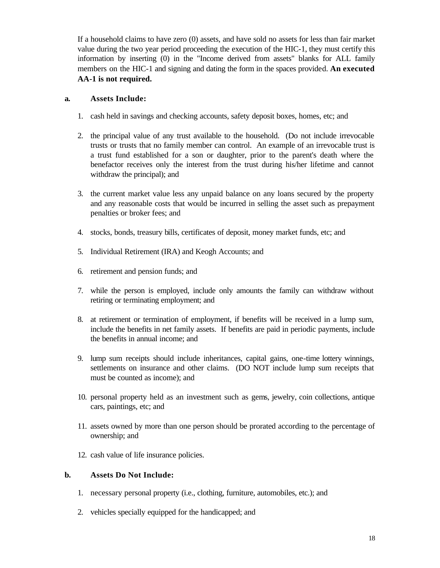If a household claims to have zero (0) assets, and have sold no assets for less than fair market value during the two year period proceeding the execution of the HIC-1, they must certify this information by inserting (0) in the "Income derived from assets" blanks for ALL family members on the HIC-1 and signing and dating the form in the spaces provided. **An executed AA-1 is not required.**

#### **a. Assets Include:**

- 1. cash held in savings and checking accounts, safety deposit boxes, homes, etc; and
- 2. the principal value of any trust available to the household. (Do not include irrevocable trusts or trusts that no family member can control. An example of an irrevocable trust is a trust fund established for a son or daughter, prior to the parent's death where the benefactor receives only the interest from the trust during his/her lifetime and cannot withdraw the principal); and
- 3. the current market value less any unpaid balance on any loans secured by the property and any reasonable costs that would be incurred in selling the asset such as prepayment penalties or broker fees; and
- 4. stocks, bonds, treasury bills, certificates of deposit, money market funds, etc; and
- 5. Individual Retirement (IRA) and Keogh Accounts; and
- 6. retirement and pension funds; and
- 7. while the person is employed, include only amounts the family can withdraw without retiring or terminating employment; and
- 8. at retirement or termination of employment, if benefits will be received in a lump sum, include the benefits in net family assets. If benefits are paid in periodic payments, include the benefits in annual income; and
- 9. lump sum receipts should include inheritances, capital gains, one-time lottery winnings, settlements on insurance and other claims. (DO NOT include lump sum receipts that must be counted as income); and
- 10. personal property held as an investment such as gems, jewelry, coin collections, antique cars, paintings, etc; and
- 11. assets owned by more than one person should be prorated according to the percentage of ownership; and
- 12. cash value of life insurance policies.

#### **b. Assets Do Not Include:**

- 1. necessary personal property (i.e., clothing, furniture, automobiles, etc.); and
- 2. vehicles specially equipped for the handicapped; and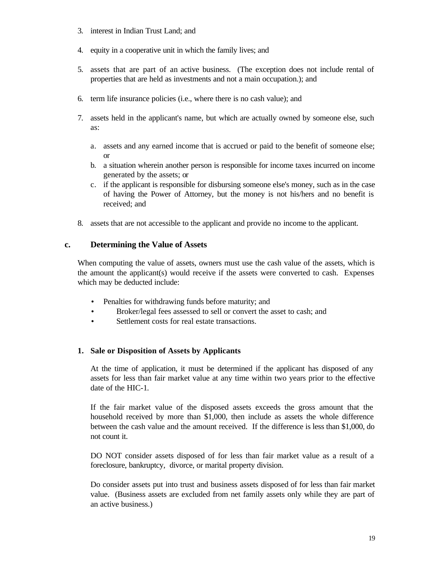- 3. interest in Indian Trust Land; and
- 4. equity in a cooperative unit in which the family lives; and
- 5. assets that are part of an active business. (The exception does not include rental of properties that are held as investments and not a main occupation.); and
- 6. term life insurance policies (i.e., where there is no cash value); and
- 7. assets held in the applicant's name, but which are actually owned by someone else, such as:
	- a. assets and any earned income that is accrued or paid to the benefit of someone else; or
	- b. a situation wherein another person is responsible for income taxes incurred on income generated by the assets; or
	- c. if the applicant is responsible for disbursing someone else's money, such as in the case of having the Power of Attorney, but the money is not his/hers and no benefit is received; and
- 8. assets that are not accessible to the applicant and provide no income to the applicant.

## **c. Determining the Value of Assets**

When computing the value of assets, owners must use the cash value of the assets, which is the amount the applicant(s) would receive if the assets were converted to cash. Expenses which may be deducted include:

- Penalties for withdrawing funds before maturity; and
- Broker/legal fees assessed to sell or convert the asset to cash; and
- Settlement costs for real estate transactions.

#### **1. Sale or Disposition of Assets by Applicants**

At the time of application, it must be determined if the applicant has disposed of any assets for less than fair market value at any time within two years prior to the effective date of the HIC-1.

If the fair market value of the disposed assets exceeds the gross amount that the household received by more than \$1,000, then include as assets the whole difference between the cash value and the amount received. If the difference is less than \$1,000, do not count it.

DO NOT consider assets disposed of for less than fair market value as a result of a foreclosure, bankruptcy, divorce, or marital property division.

Do consider assets put into trust and business assets disposed of for less than fair market value. (Business assets are excluded from net family assets only while they are part of an active business.)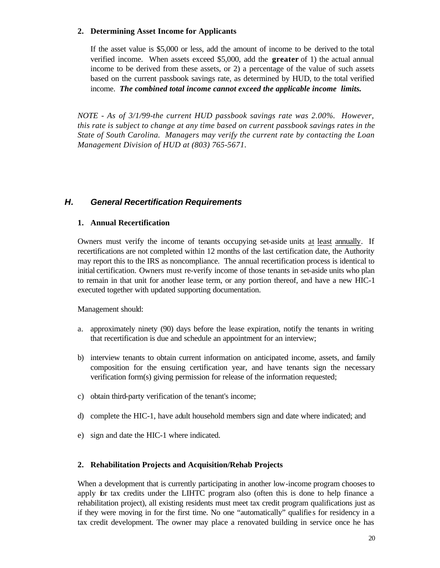#### **2. Determining Asset Income for Applicants**

If the asset value is \$5,000 or less, add the amount of income to be derived to the total verified income. When assets exceed \$5,000, add the **greater** of 1) the actual annual income to be derived from these assets, or 2) a percentage of the value of such assets based on the current passbook savings rate, as determined by HUD, to the total verified income. *The combined total income cannot exceed the applicable income limits.*

*NOTE - As of 3/1/99-the current HUD passbook savings rate was 2.00%. However, this rate is subject to change at any time based on current passbook savings rates in the State of South Carolina. Managers may verify the current rate by contacting the Loan Management Division of HUD at (803) 765-5671.*

## *H. General Recertification Requirements*

#### **1. Annual Recertification**

Owners must verify the income of tenants occupying set-aside units at least annually. If recertifications are not completed within 12 months of the last certification date, the Authority may report this to the IRS as noncompliance. The annual recertification process is identical to initial certification. Owners must re-verify income of those tenants in set-aside units who plan to remain in that unit for another lease term, or any portion thereof, and have a new HIC-1 executed together with updated supporting documentation.

Management should:

- a. approximately ninety (90) days before the lease expiration, notify the tenants in writing that recertification is due and schedule an appointment for an interview;
- b) interview tenants to obtain current information on anticipated income, assets, and family composition for the ensuing certification year, and have tenants sign the necessary verification form(s) giving permission for release of the information requested;
- c) obtain third-party verification of the tenant's income;
- d) complete the HIC-1, have adult household members sign and date where indicated; and
- e) sign and date the HIC-1 where indicated.

#### **2. Rehabilitation Projects and Acquisition/Rehab Projects**

When a development that is currently participating in another low-income program chooses to apply for tax credits under the LIHTC program also (often this is done to help finance a rehabilitation project), all existing residents must meet tax credit program qualifications just as if they were moving in for the first time. No one "automatically" qualifies for residency in a tax credit development. The owner may place a renovated building in service once he has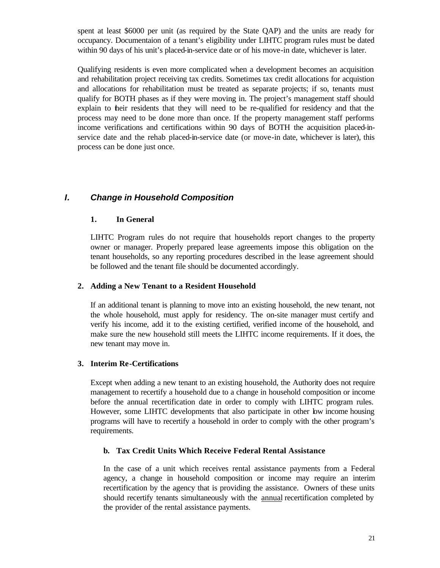spent at least \$6000 per unit (as required by the State QAP) and the units are ready for occupancy. Documentaion of a tenant's eligibility under LIHTC program rules must be dated within 90 days of his unit's placed-in-service date or of his move-in date, whichever is later.

Qualifying residents is even more complicated when a development becomes an acquisition and rehabilitation project receiving tax credits. Sometimes tax credit allocations for acquistion and allocations for rehabilitation must be treated as separate projects; if so, tenants must qualify for BOTH phases as if they were moving in. The project's management staff should explain to their residents that they will need to be re-qualified for residency and that the process may need to be done more than once. If the property management staff performs income verifications and certifications within 90 days of BOTH the acquisition placed-inservice date and the rehab placed-in-service date (or move-in date, whichever is later), this process can be done just once.

# *I. Change in Household Composition*

#### **1. In General**

LIHTC Program rules do not require that households report changes to the property owner or manager. Properly prepared lease agreements impose this obligation on the tenant households, so any reporting procedures described in the lease agreement should be followed and the tenant file should be documented accordingly.

#### **2. Adding a New Tenant to a Resident Household**

If an additional tenant is planning to move into an existing household, the new tenant, not the whole household, must apply for residency. The on-site manager must certify and verify his income, add it to the existing certified, verified income of the household, and make sure the new household still meets the LIHTC income requirements. If it does, the new tenant may move in.

#### **3. Interim Re-Certifications**

Except when adding a new tenant to an existing household, the Authority does not require management to recertify a household due to a change in household composition or income before the annual recertification date in order to comply with LIHTC program rules. However, some LIHTC developments that also participate in other low income housing programs will have to recertify a household in order to comply with the other program's requirements.

#### **b. Tax Credit Units Which Receive Federal Rental Assistance**

In the case of a unit which receives rental assistance payments from a Federal agency, a change in household composition or income may require an interim recertification by the agency that is providing the assistance. Owners of these units should recertify tenants simultaneously with the annual recertification completed by the provider of the rental assistance payments.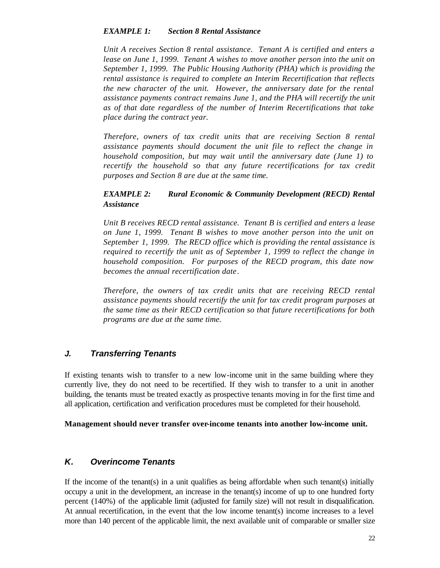#### *EXAMPLE 1: Section 8 Rental Assistance*

*Unit A receives Section 8 rental assistance. Tenant A is certified and enters a lease on June 1, 1999. Tenant A wishes to move another person into the unit on September 1, 1999. The Public Housing Authority (PHA) which is providing the rental assistance is required to complete an Interim Recertification that reflects the new character of the unit. However, the anniversary date for the rental assistance payments contract remains June 1, and the PHA will recertify the unit as of that date regardless of the number of Interim Recertifications that take place during the contract year.*

*Therefore, owners of tax credit units that are receiving Section 8 rental assistance payments should document the unit file to reflect the change in household composition, but may wait until the anniversary date (June 1) to recertify the household so that any future recertifications for tax credit purposes and Section 8 are due at the same time.*

#### *EXAMPLE 2: Rural Economic & Community Development (RECD) Rental Assistance*

*Unit B receives RECD rental assistance. Tenant B is certified and enters a lease on June 1, 1999. Tenant B wishes to move another person into the unit on September 1, 1999. The RECD office which is providing the rental assistance is required to recertify the unit as of September 1, 1999 to reflect the change in household composition. For purposes of the RECD program, this date now becomes the annual recertification date*.

*Therefore, the owners of tax credit units that are receiving RECD rental assistance payments should recertify the unit for tax credit program purposes at the same time as their RECD certification so that future recertifications for both programs are due at the same time.*

# *J. Transferring Tenants*

If existing tenants wish to transfer to a new low-income unit in the same building where they currently live, they do not need to be recertified. If they wish to transfer to a unit in another building, the tenants must be treated exactly as prospective tenants moving in for the first time and all application, certification and verification procedures must be completed for their household.

#### **Management should never transfer over-income tenants into another low-income unit.**

# *K. Overincome Tenants*

If the income of the tenant(s) in a unit qualifies as being affordable when such tenant(s) initially occupy a unit in the development, an increase in the tenant(s) income of up to one hundred forty percent (140%) of the applicable limit (adjusted for family size) will not result in disqualification. At annual recertification, in the event that the low income tenant(s) income increases to a level more than 140 percent of the applicable limit, the next available unit of comparable or smaller size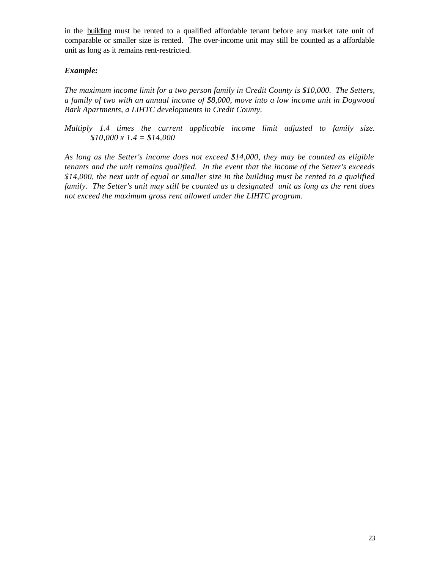in the building must be rented to a qualified affordable tenant before any market rate unit of comparable or smaller size is rented. The over-income unit may still be counted as a affordable unit as long as it remains rent-restricted.

## *Example:*

*The maximum income limit for a two person family in Credit County is \$10,000. The Setters, a family of two with an annual income of \$8,000, move into a low income unit in Dogwood Bark Apartments, a LIHTC developments in Credit County.*

*Multiply 1.4 times the current applicable income limit adjusted to family size. \$10,000 x 1.4 = \$14,000*

*As long as the Setter's income does not exceed \$14,000, they may be counted as eligible tenants and the unit remains qualified. In the event that the income of the Setter's exceeds \$14,000, the next unit of equal or smaller size in the building must be rented to a qualified family. The Setter's unit may still be counted as a designated unit as long as the rent does not exceed the maximum gross rent allowed under the LIHTC program.*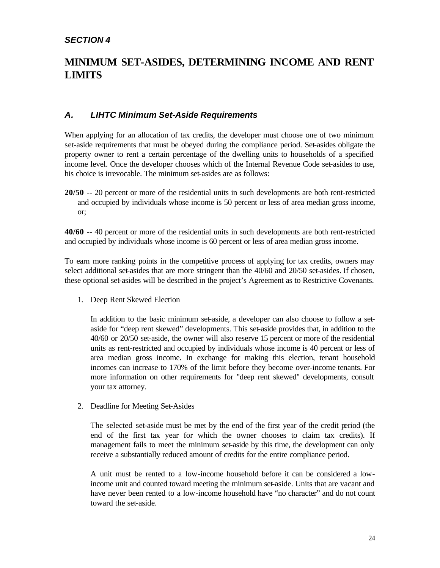# *SECTION 4*

# **MINIMUM SET-ASIDES, DETERMINING INCOME AND RENT LIMITS**

# *A. LIHTC Minimum Set-Aside Requirements*

When applying for an allocation of tax credits, the developer must choose one of two minimum set-aside requirements that must be obeyed during the compliance period. Set-asides obligate the property owner to rent a certain percentage of the dwelling units to households of a specified income level. Once the developer chooses which of the Internal Revenue Code set-asides to use, his choice is irrevocable. The minimum set-asides are as follows:

**20/50** -- 20 percent or more of the residential units in such developments are both rent-restricted and occupied by individuals whose income is 50 percent or less of area median gross income, or;

**40/60** -- 40 percent or more of the residential units in such developments are both rent-restricted and occupied by individuals whose income is 60 percent or less of area median gross income.

To earn more ranking points in the competitive process of applying for tax credits, owners may select additional set-asides that are more stringent than the 40/60 and 20/50 set-asides. If chosen, these optional set-asides will be described in the project's Agreement as to Restrictive Covenants.

1. Deep Rent Skewed Election

In addition to the basic minimum set-aside, a developer can also choose to follow a setaside for "deep rent skewed" developments. This set-aside provides that, in addition to the 40/60 or 20/50 set-aside, the owner will also reserve 15 percent or more of the residential units as rent-restricted and occupied by individuals whose income is 40 percent or less of area median gross income. In exchange for making this election, tenant household incomes can increase to 170% of the limit before they become over-income tenants. For more information on other requirements for "deep rent skewed" developments, consult your tax attorney.

2. Deadline for Meeting Set-Asides

The selected set-aside must be met by the end of the first year of the credit period (the end of the first tax year for which the owner chooses to claim tax credits). If management fails to meet the minimum set-aside by this time, the development can only receive a substantially reduced amount of credits for the entire compliance period.

A unit must be rented to a low-income household before it can be considered a lowincome unit and counted toward meeting the minimum set-aside. Units that are vacant and have never been rented to a low-income household have "no character" and do not count toward the set-aside.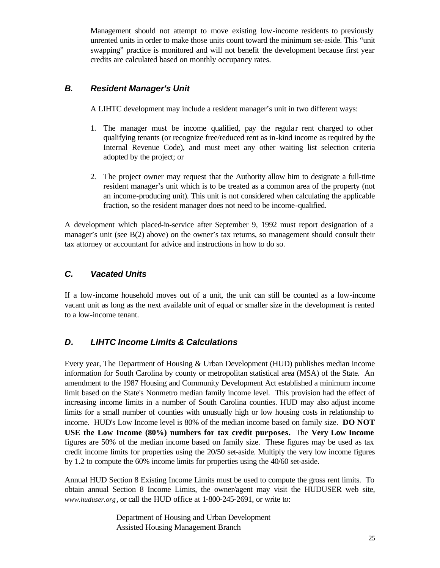Management should not attempt to move existing low-income residents to previously unrented units in order to make those units count toward the minimum set-aside. This "unit swapping" practice is monitored and will not benefit the development because first year credits are calculated based on monthly occupancy rates.

# *B. Resident Manager's Unit*

A LIHTC development may include a resident manager's unit in two different ways:

- 1. The manager must be income qualified, pay the regular rent charged to other qualifying tenants (or recognize free/reduced rent as in-kind income as required by the Internal Revenue Code), and must meet any other waiting list selection criteria adopted by the project; or
- 2. The project owner may request that the Authority allow him to designate a full-time resident manager's unit which is to be treated as a common area of the property (not an income-producing unit). This unit is not considered when calculating the applicable fraction, so the resident manager does not need to be income-qualified.

A development which placed-in-service after September 9, 1992 must report designation of a manager's unit (see B(2) above) on the owner's tax returns, so management should consult their tax attorney or accountant for advice and instructions in how to do so.

# *C. Vacated Units*

If a low-income household moves out of a unit, the unit can still be counted as a low-income vacant unit as long as the next available unit of equal or smaller size in the development is rented to a low-income tenant.

# *D. LIHTC Income Limits & Calculations*

Every year, The Department of Housing & Urban Development (HUD) publishes median income information for South Carolina by county or metropolitan statistical area (MSA) of the State. An amendment to the 1987 Housing and Community Development Act established a minimum income limit based on the State's Nonmetro median family income level. This provision had the effect of increasing income limits in a number of South Carolina counties. HUD may also adjust income limits for a small number of counties with unusually high or low housing costs in relationship to income. HUD's Low Income level is 80% of the median income based on family size. **DO NOT USE the Low Income (80%) numbers for tax credit purposes.** The **Very Low Income** figures are 50% of the median income based on family size. These figures may be used as tax credit income limits for properties using the 20/50 set-aside. Multiply the very low income figures by 1.2 to compute the 60% income limits for properties using the 40/60 set-aside.

Annual HUD Section 8 Existing Income Limits must be used to compute the gross rent limits. To obtain annual Section 8 Income Limits, the owner/agent may visit the HUDUSER web site, *www.huduser.org*, or call the HUD office at 1-800-245-2691, or write to:

> Department of Housing and Urban Development Assisted Housing Management Branch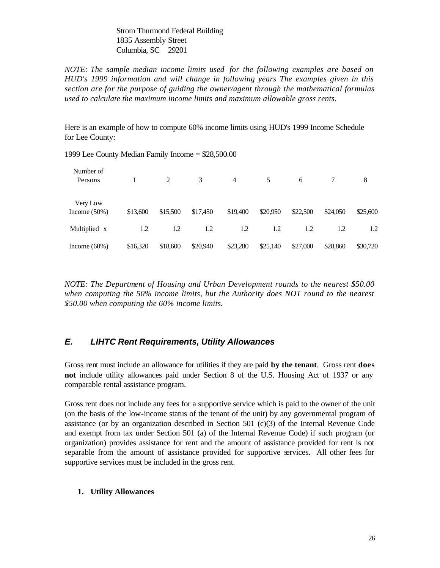Strom Thurmond Federal Building 1835 Assembly Street Columbia, SC 29201

*NOTE: The sample median income limits used for the following examples are based on HUD's 1999 information and will change in following years The examples given in this section are for the purpose of guiding the owner/agent through the mathematical formulas used to calculate the maximum income limits and maximum allowable gross rents.*

Here is an example of how to compute 60% income limits using HUD's 1999 Income Schedule for Lee County:

| Number of<br>Persons        |          | 2        | 3        | $\overline{4}$ | 5        | 6        |          | 8        |
|-----------------------------|----------|----------|----------|----------------|----------|----------|----------|----------|
| Very Low<br>Income $(50\%)$ | \$13,600 | \$15,500 | \$17,450 | \$19,400       | \$20,950 | \$22,500 | \$24,050 | \$25,600 |
| Multiplied x                | 1.2      | 1.2      | 1.2      | 1.2            | 1.2      | 1.2      | 1.2      | 1.2      |
| Income $(60\%)$             | \$16,320 | \$18,600 | \$20,940 | \$23,280       | \$25,140 | \$27,000 | \$28,860 | \$30,720 |

1999 Lee County Median Family Income = \$28,500.00

*NOTE: The Department of Housing and Urban Development rounds to the nearest \$50.00 when computing the 50% income limits, but the Authority does NOT round to the nearest \$50.00 when computing the 60% income limits.*

# *E. LIHTC Rent Requirements, Utility Allowances*

Gross rent must include an allowance for utilities if they are paid **by the tenant**. Gross rent **does not** include utility allowances paid under Section 8 of the U.S. Housing Act of 1937 or any comparable rental assistance program.

Gross rent does not include any fees for a supportive service which is paid to the owner of the unit (on the basis of the low-income status of the tenant of the unit) by any governmental program of assistance (or by an organization described in Section 501 (c)(3) of the Internal Revenue Code and exempt from tax under Section 501 (a) of the Internal Revenue Code) if such program (or organization) provides assistance for rent and the amount of assistance provided for rent is not separable from the amount of assistance provided for supportive services. All other fees for supportive services must be included in the gross rent.

#### **1. Utility Allowances**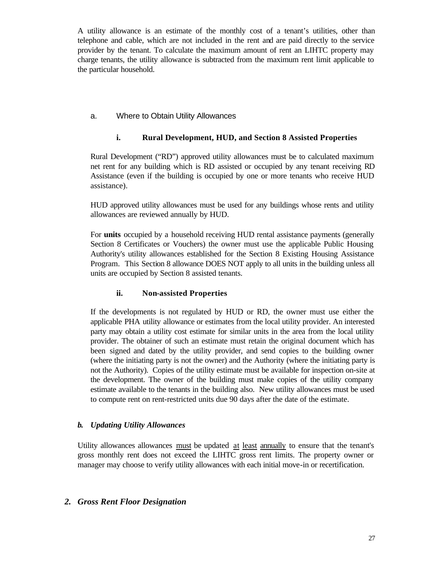A utility allowance is an estimate of the monthly cost of a tenant's utilities, other than telephone and cable, which are not included in the rent and are paid directly to the service provider by the tenant. To calculate the maximum amount of rent an LIHTC property may charge tenants, the utility allowance is subtracted from the maximum rent limit applicable to the particular household.

## a. Where to Obtain Utility Allowances

## **i. Rural Development, HUD, and Section 8 Assisted Properties**

Rural Development ("RD") approved utility allowances must be to calculated maximum net rent for any building which is RD assisted or occupied by any tenant receiving RD Assistance (even if the building is occupied by one or more tenants who receive HUD assistance).

HUD approved utility allowances must be used for any buildings whose rents and utility allowances are reviewed annually by HUD.

For **units** occupied by a household receiving HUD rental assistance payments (generally Section 8 Certificates or Vouchers) the owner must use the applicable Public Housing Authority's utility allowances established for the Section 8 Existing Housing Assistance Program. This Section 8 allowance DOES NOT apply to all units in the building unless all units are occupied by Section 8 assisted tenants.

#### **ii. Non-assisted Properties**

If the developments is not regulated by HUD or RD, the owner must use either the applicable PHA utility allowance or estimates from the local utility provider. An interested party may obtain a utility cost estimate for similar units in the area from the local utility provider. The obtainer of such an estimate must retain the original document which has been signed and dated by the utility provider, and send copies to the building owner (where the initiating party is not the owner) and the Authority (where the initiating party is not the Authority). Copies of the utility estimate must be available for inspection on-site at the development. The owner of the building must make copies of the utility company estimate available to the tenants in the building also. New utility allowances must be used to compute rent on rent-restricted units due 90 days after the date of the estimate.

#### *b. Updating Utility Allowances*

Utility allowances allowances must be updated at least annually to ensure that the tenant's gross monthly rent does not exceed the LIHTC gross rent limits. The property owner or manager may choose to verify utility allowances with each initial move-in or recertification.

#### *2. Gross Rent Floor Designation*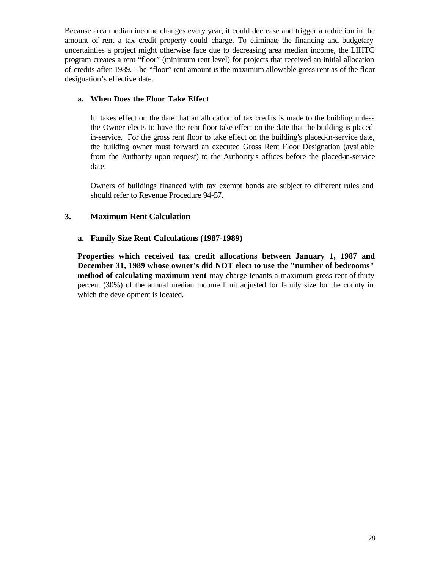Because area median income changes every year, it could decrease and trigger a reduction in the amount of rent a tax credit property could charge. To eliminate the financing and budgetary uncertainties a project might otherwise face due to decreasing area median income, the LIHTC program creates a rent "floor" (minimum rent level) for projects that received an initial allocation of credits after 1989. The "floor" rent amount is the maximum allowable gross rent as of the floor designation's effective date.

#### **a. When Does the Floor Take Effect**

It takes effect on the date that an allocation of tax credits is made to the building unless the Owner elects to have the rent floor take effect on the date that the building is placedin-service. For the gross rent floor to take effect on the building's placed-in-service date, the building owner must forward an executed Gross Rent Floor Designation (available from the Authority upon request) to the Authority's offices before the placed-in-service date.

Owners of buildings financed with tax exempt bonds are subject to different rules and should refer to Revenue Procedure 94-57.

## **3. Maximum Rent Calculation**

#### **a. Family Size Rent Calculations (1987-1989)**

**Properties which received tax credit allocations between January 1, 1987 and December 31, 1989 whose owner's did NOT elect to use the "number of bedrooms" method of calculating maximum rent** may charge tenants a maximum gross rent of thirty percent (30%) of the annual median income limit adjusted for family size for the county in which the development is located.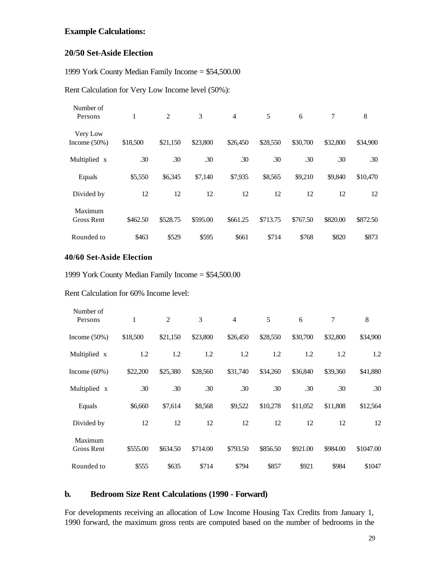# **Example Calculations:**

#### **20/50 Set-Aside Election**

1999 York County Median Family Income = \$54,500.00

Rent Calculation for Very Low Income level (50%):

| Number of<br>Persons         | 1        | 2        | 3        | $\overline{4}$ | 5        | 6        | $\tau$   | 8        |
|------------------------------|----------|----------|----------|----------------|----------|----------|----------|----------|
| Very Low<br>Income $(50\%)$  | \$18,500 | \$21,150 | \$23,800 | \$26,450       | \$28,550 | \$30,700 | \$32,800 | \$34,900 |
| Multiplied x                 | .30      | .30      | .30      | .30            | .30      | .30      | .30      | .30      |
| Equals                       | \$5,550  | \$6,345  | \$7,140  | \$7,935        | \$8,565  | \$9,210  | \$9,840  | \$10,470 |
| Divided by                   | 12       | 12       | 12       | 12             | 12       | 12       | 12       | 12       |
| Maximum<br><b>Gross Rent</b> | \$462.50 | \$528.75 | \$595.00 | \$661.25       | \$713.75 | \$767.50 | \$820.00 | \$872.50 |
| Rounded to                   | \$463    | \$529    | \$595    | \$661          | \$714    | \$768    | \$820    | \$873    |

#### **40/60 Set-Aside Election**

1999 York County Median Family Income = \$54,500.00

Rent Calculation for 60% Income level:

| Number of<br>Persons         | 1        | $\overline{c}$ | 3        | $\overline{4}$ | 5        | 6        | 7        | 8         |
|------------------------------|----------|----------------|----------|----------------|----------|----------|----------|-----------|
| Income $(50\%)$              | \$18,500 | \$21,150       | \$23,800 | \$26,450       | \$28,550 | \$30,700 | \$32,800 | \$34,900  |
| Multiplied x                 | 1.2      | 1.2            | 1.2      | 1.2            | 1.2      | 1.2      | 1.2      | 1.2       |
| Income $(60\%)$              | \$22,200 | \$25,380       | \$28,560 | \$31,740       | \$34,260 | \$36,840 | \$39,360 | \$41,880  |
| Multiplied x                 | .30      | .30            | .30      | .30            | .30      | .30      | .30      | .30       |
| Equals                       | \$6,660  | \$7,614        | \$8,568  | \$9,522        | \$10,278 | \$11,052 | \$11,808 | \$12,564  |
| Divided by                   | 12       | 12             | 12       | 12             | 12       | 12       | 12       | 12        |
| Maximum<br><b>Gross Rent</b> | \$555.00 | \$634.50       | \$714.00 | \$793.50       | \$856.50 | \$921.00 | \$984.00 | \$1047.00 |
| Rounded to                   | \$555    | \$635          | \$714    | \$794          | \$857    | \$921    | \$984    | \$1047    |

# **b. Bedroom Size Rent Calculations (1990 - Forward)**

For developments receiving an allocation of Low Income Housing Tax Credits from January 1, 1990 forward, the maximum gross rents are computed based on the number of bedrooms in the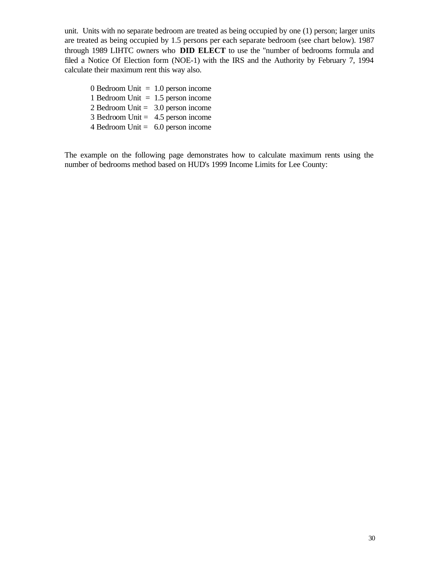unit. Units with no separate bedroom are treated as being occupied by one (1) person; larger units are treated as being occupied by 1.5 persons per each separate bedroom (see chart below). 1987 through 1989 LIHTC owners who **DID ELECT** to use the "number of bedrooms formula and filed a Notice Of Election form (NOE-1) with the IRS and the Authority by February 7, 1994 calculate their maximum rent this way also.

0 Bedroom Unit  $= 1.0$  person income 1 Bedroom Unit  $= 1.5$  person income 2 Bedroom Unit = 3.0 person income  $3$  Bedroom Unit = 4.5 person income 4 Bedroom Unit  $= 6.0$  person income

The example on the following page demonstrates how to calculate maximum rents using the number of bedrooms method based on HUD's 1999 Income Limits for Lee County: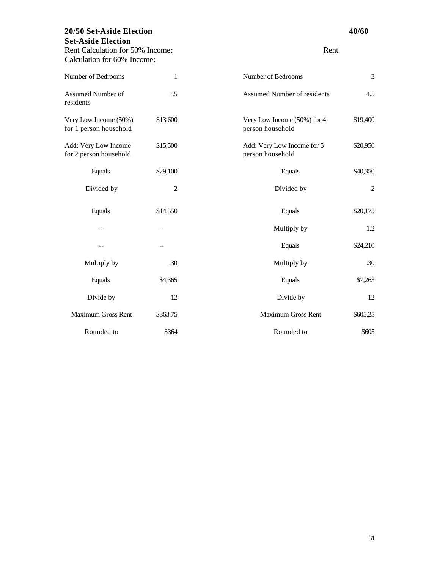# **20/50 Set-Aside Election 40/60 Set-Aside Election** Rent Calculation for 50% Income: Rent

Calculation for 60% Income:

| Number of Bedrooms                              | 1              | Number of Bedrooms                              | 3              |
|-------------------------------------------------|----------------|-------------------------------------------------|----------------|
| Assumed Number of<br>residents                  | 1.5            | Assumed Number of residents                     | 4.5            |
| Very Low Income (50%)<br>for 1 person household | \$13,600       | Very Low Income (50%) for 4<br>person household | \$19,400       |
| Add: Very Low Income<br>for 2 person household  | \$15,500       | Add: Very Low Income for 5<br>person household  | \$20,950       |
| Equals                                          | \$29,100       | Equals                                          | \$40,350       |
| Divided by                                      | $\overline{2}$ | Divided by                                      | $\overline{2}$ |
| Equals                                          | \$14,550       | Equals                                          | \$20,175       |
|                                                 | $-$            | Multiply by                                     | 1.2            |
|                                                 |                | Equals                                          | \$24,210       |
| Multiply by                                     | .30            | Multiply by                                     | .30            |
| Equals                                          | \$4,365        | Equals                                          | \$7,263        |
| Divide by                                       | 12             | Divide by                                       | 12             |
| <b>Maximum Gross Rent</b>                       | \$363.75       | <b>Maximum Gross Rent</b>                       | \$605.25       |
| Rounded to                                      | \$364          | Rounded to                                      | \$605          |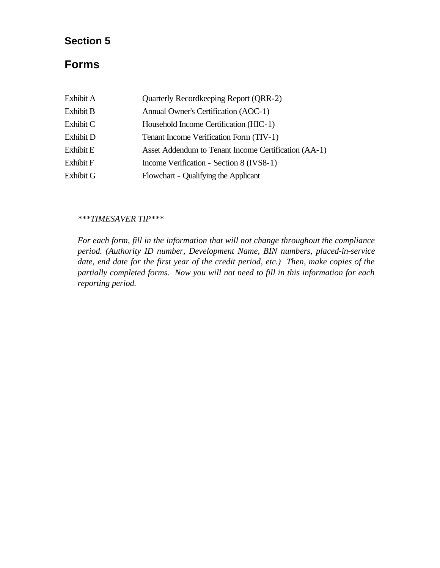# **Section 5**

# **Forms**

| Exhibit A        | Quarterly Recordkeeping Report (QRR-2)               |
|------------------|------------------------------------------------------|
| <b>Exhibit B</b> | Annual Owner's Certification (AOC-1)                 |
| Exhibit C        | Household Income Certification (HIC-1)               |
| Exhibit D        | Tenant Income Verification Form (TIV-1)              |
| Exhibit E        | Asset Addendum to Tenant Income Certification (AA-1) |
| <b>Exhibit F</b> | Income Verification - Section 8 (IVS8-1)             |
| Exhibit G        | Flowchart - Qualifying the Applicant                 |

#### *\*\*\*TIMESAVER TIP\*\*\**

*For each form, fill in the information that will not change throughout the compliance period. (Authority ID number, Development Name, BIN numbers, placed-in-service date, end date for the first year of the credit period, etc.) Then, make copies of the partially completed forms. Now you will not need to fill in this information for each reporting period.*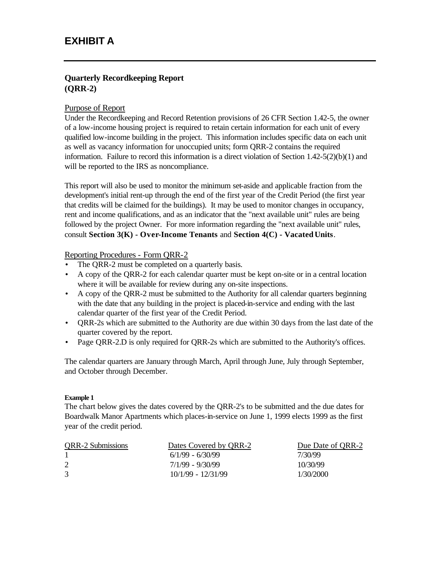# **Quarterly Recordkeeping Report (QRR-2)**

#### Purpose of Report

Under the Recordkeeping and Record Retention provisions of 26 CFR Section 1.42-5, the owner of a low-income housing project is required to retain certain information for each unit of every qualified low-income building in the project. This information includes specific data on each unit as well as vacancy information for unoccupied units; form QRR-2 contains the required information. Failure to record this information is a direct violation of Section  $1.42-5(2)(b)(1)$  and will be reported to the IRS as noncompliance.

This report will also be used to monitor the minimum set-aside and applicable fraction from the development's initial rent-up through the end of the first year of the Credit Period (the first year that credits will be claimed for the buildings). It may be used to monitor changes in occupancy, rent and income qualifications, and as an indicator that the "next available unit" rules are being followed by the project Owner. For more information regarding the "next available unit" rules, consult **Section 3(K) - Over-Income Tenants** and **Section 4(C) - Vacated Units**.

#### Reporting Procedures - Form QRR-2

- The ORR-2 must be completed on a quarterly basis.
- A copy of the QRR-2 for each calendar quarter must be kept on-site or in a central location where it will be available for review during any on-site inspections.
- A copy of the QRR-2 must be submitted to the Authority for all calendar quarters beginning with the date that any building in the project is placed-in-service and ending with the last calendar quarter of the first year of the Credit Period.
- QRR-2s which are submitted to the Authority are due within 30 days from the last date of the quarter covered by the report.
- Page QRR-2.D is only required for QRR-2s which are submitted to the Authority's offices.

The calendar quarters are January through March, April through June, July through September, and October through December.

#### **Example 1**

The chart below gives the dates covered by the QRR-2's to be submitted and the due dates for Boardwalk Manor Apartments which places-in-service on June 1, 1999 elects 1999 as the first year of the credit period.

| <b>QRR-2 Submissions</b> | Dates Covered by QRR-2 | Due Date of QRR-2 |
|--------------------------|------------------------|-------------------|
|                          | $6/1/99 - 6/30/99$     | 7/30/99           |
| 2                        | 7/1/99 - 9/30/99       | 10/30/99          |
| 3                        | $10/1/99 - 12/31/99$   | 1/30/2000         |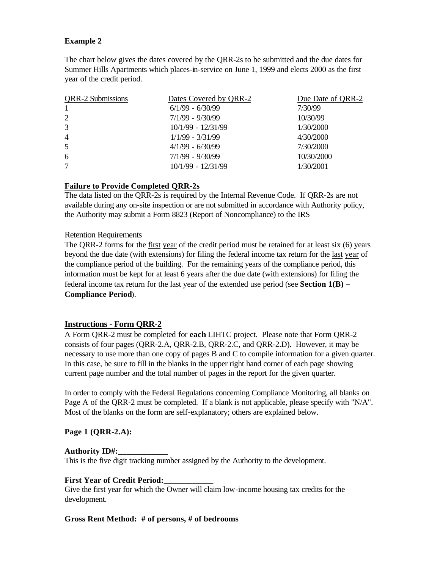#### **Example 2**

The chart below gives the dates covered by the QRR-2s to be submitted and the due dates for Summer Hills Apartments which places-in-service on June 1, 1999 and elects 2000 as the first year of the credit period.

| <b>QRR-2 Submissions</b> | Dates Covered by QRR-2 | Due Date of QRR-2 |
|--------------------------|------------------------|-------------------|
| $\mathbf{1}$             | $6/1/99 - 6/30/99$     | 7/30/99           |
| 2                        | $7/1/99 - 9/30/99$     | 10/30/99          |
| 3                        | $10/1/99 - 12/31/99$   | 1/30/2000         |
| $\overline{4}$           | $1/1/99 - 3/31/99$     | 4/30/2000         |
| 5                        | $4/1/99 - 6/30/99$     | 7/30/2000         |
| 6                        | $7/1/99 - 9/30/99$     | 10/30/2000        |
| 7                        | 10/1/99 - 12/31/99     | 1/30/2001         |
|                          |                        |                   |

#### **Failure to Provide Completed QRR-2s**

The data listed on the QRR-2s is required by the Internal Revenue Code. If QRR-2s are not available during any on-site inspection or are not submitted in accordance with Authority policy, the Authority may submit a Form 8823 (Report of Noncompliance) to the IRS

#### Retention Requirements

The QRR-2 forms for the first year of the credit period must be retained for at least six (6) years beyond the due date (with extensions) for filing the federal income tax return for the last year of the compliance period of the building. For the remaining years of the compliance period, this information must be kept for at least 6 years after the due date (with extensions) for filing the federal income tax return for the last year of the extended use period (see **Section 1(B) – Compliance Period**).

#### **Instructions - Form QRR-2**

A Form QRR-2 must be completed for **each** LIHTC project. Please note that Form QRR-2 consists of four pages (QRR-2.A, QRR-2.B, QRR-2.C, and QRR-2.D). However, it may be necessary to use more than one copy of pages B and C to compile information for a given quarter. In this case, be sure to fill in the blanks in the upper right hand corner of each page showing current page number and the total number of pages in the report for the given quarter.

In order to comply with the Federal Regulations concerning Compliance Monitoring, all blanks on Page A of the QRR-2 must be completed. If a blank is not applicable, please specify with "N/A". Most of the blanks on the form are self-explanatory; others are explained below.

#### **Page 1 (QRR-2.A):**

#### **Authority ID#:\_\_\_\_\_\_\_\_\_\_\_\_**

This is the five digit tracking number assigned by the Authority to the development.

#### **First Year of Credit Period:\_\_\_\_\_\_\_\_\_\_\_\_**

Give the first year for which the Owner will claim low-income housing tax credits for the development.

#### **Gross Rent Method: # of persons, # of bedrooms**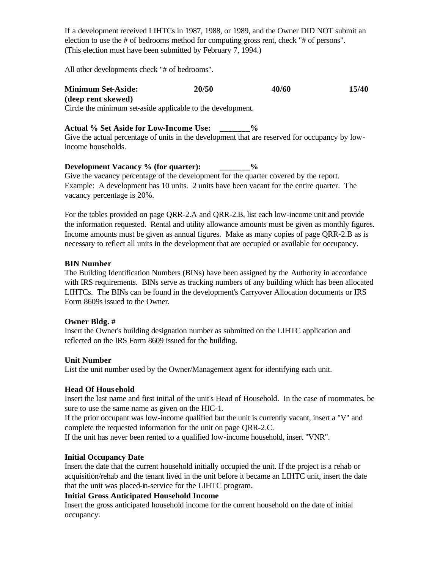If a development received LIHTCs in 1987, 1988, or 1989, and the Owner DID NOT submit an election to use the # of bedrooms method for computing gross rent, check "# of persons". (This election must have been submitted by February 7, 1994.)

All other developments check "# of bedrooms".

**Minimum Set-Aside: 20/50 40/60 15/40 (deep rent skewed)** Circle the minimum set-aside applicable to the development.

**Actual % Set Aside for Low-Income Use: \_\_\_\_\_\_\_%** Give the actual percentage of units in the development that are reserved for occupancy by lowincome households.

# **Development Vacancy % (for quarter): \_\_\_\_\_\_\_%**

Give the vacancy percentage of the development for the quarter covered by the report. Example: A development has 10 units. 2 units have been vacant for the entire quarter. The vacancy percentage is 20%.

For the tables provided on page QRR-2.A and QRR-2.B, list each low-income unit and provide the information requested. Rental and utility allowance amounts must be given as monthly figures. Income amounts must be given as annual figures. Make as many copies of page QRR-2.B as is necessary to reflect all units in the development that are occupied or available for occupancy.

#### **BIN Number**

The Building Identification Numbers (BINs) have been assigned by the Authority in accordance with IRS requirements. BINs serve as tracking numbers of any building which has been allocated LIHTCs. The BINs can be found in the development's Carryover Allocation documents or IRS Form 8609s issued to the Owner.

#### **Owner Bldg. #**

Insert the Owner's building designation number as submitted on the LIHTC application and reflected on the IRS Form 8609 issued for the building.

#### **Unit Number**

List the unit number used by the Owner/Management agent for identifying each unit.

#### **Head Of Hous ehold**

Insert the last name and first initial of the unit's Head of Household. In the case of roommates, be sure to use the same name as given on the HIC-1.

If the prior occupant was low-income qualified but the unit is currently vacant, insert a "V" and complete the requested information for the unit on page QRR-2.C.

If the unit has never been rented to a qualified low-income household, insert "VNR".

#### **Initial Occupancy Date**

Insert the date that the current household initially occupied the unit. If the project is a rehab or acquisition/rehab and the tenant lived in the unit before it became an LIHTC unit, insert the date that the unit was placed-in-service for the LIHTC program.

#### **Initial Gross Anticipated Household Income**

Insert the gross anticipated household income for the current household on the date of initial occupancy.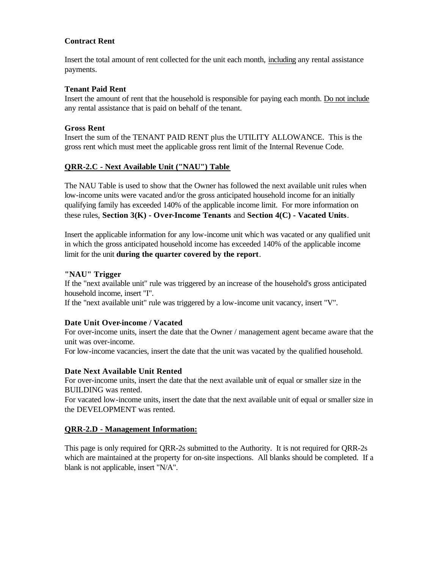#### **Contract Rent**

Insert the total amount of rent collected for the unit each month, including any rental assistance payments.

#### **Tenant Paid Rent**

Insert the amount of rent that the household is responsible for paying each month. Do not include any rental assistance that is paid on behalf of the tenant.

#### **Gross Rent**

Insert the sum of the TENANT PAID RENT plus the UTILITY ALLOWANCE. This is the gross rent which must meet the applicable gross rent limit of the Internal Revenue Code.

#### **QRR-2.C - Next Available Unit ("NAU") Table**

The NAU Table is used to show that the Owner has followed the next available unit rules when low-income units were vacated and/or the gross anticipated household income for an initially qualifying family has exceeded 140% of the applicable income limit. For more information on these rules, **Section 3(K) - Over-Income Tenants** and **Section 4(C) - Vacated Units**.

Insert the applicable information for any low-income unit which was vacated or any qualified unit in which the gross anticipated household income has exceeded 140% of the applicable income limit for the unit **during the quarter covered by the report**.

#### **"NAU" Trigger**

If the "next available unit" rule was triggered by an increase of the household's gross anticipated household income, insert "I".

If the "next available unit" rule was triggered by a low-income unit vacancy, insert "V".

#### **Date Unit Over-income / Vacated**

For over-income units, insert the date that the Owner / management agent became aware that the unit was over-income.

For low-income vacancies, insert the date that the unit was vacated by the qualified household.

#### **Date Next Available Unit Rented**

For over-income units, insert the date that the next available unit of equal or smaller size in the BUILDING was rented.

For vacated low-income units, insert the date that the next available unit of equal or smaller size in the DEVELOPMENT was rented.

#### **QRR-2.D - Management Information:**

This page is only required for QRR-2s submitted to the Authority. It is not required for QRR-2s which are maintained at the property for on-site inspections. All blanks should be completed. If a blank is not applicable, insert "N/A".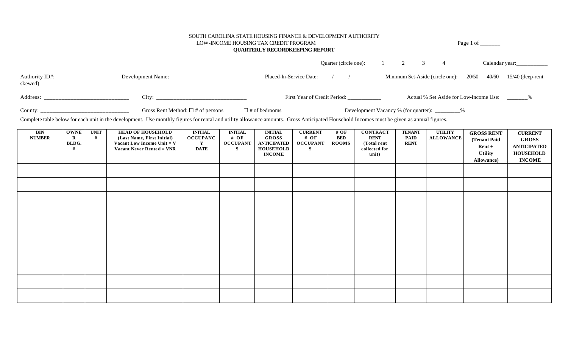#### SOUTH CAROLINA STATE HOUSING FINANCE & DEVELOPMENT AUTHORITY

**QUARTERLY RECORDKEEPING REPORT**

LOW-INCOME HOUSING TAX CREDIT PROGRAM Page 1 of \_\_\_\_\_\_\_

|                           |                                        |                                                           | Ouarter (circle one): 1 2 3                     |  |                                       |       |                                                 |
|---------------------------|----------------------------------------|-----------------------------------------------------------|-------------------------------------------------|--|---------------------------------------|-------|-------------------------------------------------|
| Authority ID#:<br>skewed) |                                        | Placed-In-Service Date: $\frac{1}{\sqrt{1-\frac{1}{2}}}\$ |                                                 |  | Minimum Set-Aside (circle one): 20/50 | 40/60 | $15/40$ (deep-rent                              |
| Address:                  | City:                                  |                                                           | First Year of Credit Period:                    |  |                                       |       | Actual % Set Aside for Low-Income Use: _______% |
| County:                   | Gross Rent Method: $\Box$ # of persons | $\Box$ # of bedrooms                                      | Development Vacancy % (for quarter): _________% |  |                                       |       |                                                 |

Complete table below for each unit in the development. Use monthly figures for rental and utility allowance amounts. Gross Anticipated Household Incomes must be given as annual figures.

| <b>BIN</b><br><b>NUMBER</b> | <b>OWNE</b><br>$\bf R$<br>BLDG. | <b>UNIT</b><br># | <b>HEAD OF HOUSEHOLD</b><br>(Last Name, First Initial)<br>Vacant Low Income Unit $= V$<br>Vacant Never Rented = VNR | <b>INITIAL</b><br><b>OCCUPANC</b><br>$\mathbf{Y}$<br>DATE | <b>INITIAL</b><br># OF<br><b>OCCUPANT</b><br>S | <b>INITIAL</b><br><b>GROSS</b><br><b>ANTICIPATED</b><br><b>HOUSEHOLD</b><br><b>INCOME</b> | <b>CURRENT</b><br># OF<br><b>OCCUPANT</b><br>S | # $OF$<br><b>BED</b><br><b>ROOMS</b> | <b>CONTRACT</b><br><b>RENT</b><br>(Total rent<br>collected for<br>unit) | <b>TENANT</b><br><b>PAID</b><br><b>RENT</b> | <b>UTILITY</b><br>ALLOWANCE | <b>GROSS RENT</b><br>(Tenant Paid<br>$Rent +$<br><b>Utility</b><br>Allowance) | <b>CURRENT</b><br><b>GROSS</b><br><b>ANTICIPATED</b><br><b>HOUSEHOLD</b><br><b>INCOME</b> |
|-----------------------------|---------------------------------|------------------|---------------------------------------------------------------------------------------------------------------------|-----------------------------------------------------------|------------------------------------------------|-------------------------------------------------------------------------------------------|------------------------------------------------|--------------------------------------|-------------------------------------------------------------------------|---------------------------------------------|-----------------------------|-------------------------------------------------------------------------------|-------------------------------------------------------------------------------------------|
|                             |                                 |                  |                                                                                                                     |                                                           |                                                |                                                                                           |                                                |                                      |                                                                         |                                             |                             |                                                                               |                                                                                           |
|                             |                                 |                  |                                                                                                                     |                                                           |                                                |                                                                                           |                                                |                                      |                                                                         |                                             |                             |                                                                               |                                                                                           |
|                             |                                 |                  |                                                                                                                     |                                                           |                                                |                                                                                           |                                                |                                      |                                                                         |                                             |                             |                                                                               |                                                                                           |
|                             |                                 |                  |                                                                                                                     |                                                           |                                                |                                                                                           |                                                |                                      |                                                                         |                                             |                             |                                                                               |                                                                                           |
|                             |                                 |                  |                                                                                                                     |                                                           |                                                |                                                                                           |                                                |                                      |                                                                         |                                             |                             |                                                                               |                                                                                           |
|                             |                                 |                  |                                                                                                                     |                                                           |                                                |                                                                                           |                                                |                                      |                                                                         |                                             |                             |                                                                               |                                                                                           |
|                             |                                 |                  |                                                                                                                     |                                                           |                                                |                                                                                           |                                                |                                      |                                                                         |                                             |                             |                                                                               |                                                                                           |
|                             |                                 |                  |                                                                                                                     |                                                           |                                                |                                                                                           |                                                |                                      |                                                                         |                                             |                             |                                                                               |                                                                                           |
|                             |                                 |                  |                                                                                                                     |                                                           |                                                |                                                                                           |                                                |                                      |                                                                         |                                             |                             |                                                                               |                                                                                           |
|                             |                                 |                  |                                                                                                                     |                                                           |                                                |                                                                                           |                                                |                                      |                                                                         |                                             |                             |                                                                               |                                                                                           |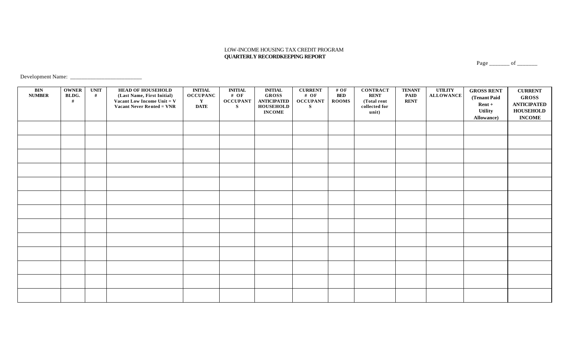#### LOW-INCOME HOUSING TAX CREDIT PROGRAM  **QUARTERLY RECORDKEEPING REPORT**

Page \_\_\_\_\_\_\_\_ of \_\_\_\_\_\_\_

Development Name: \_\_\_\_\_\_\_\_\_\_\_\_\_\_\_\_\_\_\_\_\_\_\_\_\_

| <b>BIN</b><br><b>NUMBER</b> | <b>OWNER</b><br>BLDG.<br># | <b>UNIT</b><br># | <b>HEAD OF HOUSEHOLD</b><br>(Last Name, First Initial)<br>Vacant Low Income Unit = $V$<br>Vacant Never Rented = VNR | <b>INITIAL</b><br><b>OCCUPANC</b><br>$\mathbf{Y}$<br><b>DATE</b> | $\blacksquare\blacksquare\blacksquare\blacksquare\blacksquare\blacksquare\blacksquare$<br># OF<br><b>OCCUPANT</b><br>S | <b>INITIAL</b><br><b>GROSS</b><br><b>ANTICIPATED</b><br><b>HOUSEHOLD</b><br><b>INCOME</b> | <b>CURRENT</b><br># OF<br><b>OCCUPANT</b><br>S | # OF<br><b>BED</b><br><b>ROOMS</b> | <b>CONTRACT</b><br><b>RENT</b><br>(Total rent<br>collected for<br>unit) | <b>TENANT</b><br><b>PAID</b><br><b>RENT</b> | <b>UTILITY</b><br><b>ALLOWANCE</b> | <b>GROSS RENT</b><br>(Tenant Paid<br>$Rent +$<br>Utility<br>Allowance) | <b>CURRENT</b><br><b>GROSS</b><br><b>ANTICIPATED</b><br><b>HOUSEHOLD</b><br><b>INCOME</b> |
|-----------------------------|----------------------------|------------------|---------------------------------------------------------------------------------------------------------------------|------------------------------------------------------------------|------------------------------------------------------------------------------------------------------------------------|-------------------------------------------------------------------------------------------|------------------------------------------------|------------------------------------|-------------------------------------------------------------------------|---------------------------------------------|------------------------------------|------------------------------------------------------------------------|-------------------------------------------------------------------------------------------|
|                             |                            |                  |                                                                                                                     |                                                                  |                                                                                                                        |                                                                                           |                                                |                                    |                                                                         |                                             |                                    |                                                                        |                                                                                           |
|                             |                            |                  |                                                                                                                     |                                                                  |                                                                                                                        |                                                                                           |                                                |                                    |                                                                         |                                             |                                    |                                                                        |                                                                                           |
|                             |                            |                  |                                                                                                                     |                                                                  |                                                                                                                        |                                                                                           |                                                |                                    |                                                                         |                                             |                                    |                                                                        |                                                                                           |
|                             |                            |                  |                                                                                                                     |                                                                  |                                                                                                                        |                                                                                           |                                                |                                    |                                                                         |                                             |                                    |                                                                        |                                                                                           |
|                             |                            |                  |                                                                                                                     |                                                                  |                                                                                                                        |                                                                                           |                                                |                                    |                                                                         |                                             |                                    |                                                                        |                                                                                           |
|                             |                            |                  |                                                                                                                     |                                                                  |                                                                                                                        |                                                                                           |                                                |                                    |                                                                         |                                             |                                    |                                                                        |                                                                                           |
|                             |                            |                  |                                                                                                                     |                                                                  |                                                                                                                        |                                                                                           |                                                |                                    |                                                                         |                                             |                                    |                                                                        |                                                                                           |
|                             |                            |                  |                                                                                                                     |                                                                  |                                                                                                                        |                                                                                           |                                                |                                    |                                                                         |                                             |                                    |                                                                        |                                                                                           |
|                             |                            |                  |                                                                                                                     |                                                                  |                                                                                                                        |                                                                                           |                                                |                                    |                                                                         |                                             |                                    |                                                                        |                                                                                           |
|                             |                            |                  |                                                                                                                     |                                                                  |                                                                                                                        |                                                                                           |                                                |                                    |                                                                         |                                             |                                    |                                                                        |                                                                                           |
|                             |                            |                  |                                                                                                                     |                                                                  |                                                                                                                        |                                                                                           |                                                |                                    |                                                                         |                                             |                                    |                                                                        |                                                                                           |
|                             |                            |                  |                                                                                                                     |                                                                  |                                                                                                                        |                                                                                           |                                                |                                    |                                                                         |                                             |                                    |                                                                        |                                                                                           |
|                             |                            |                  |                                                                                                                     |                                                                  |                                                                                                                        |                                                                                           |                                                |                                    |                                                                         |                                             |                                    |                                                                        |                                                                                           |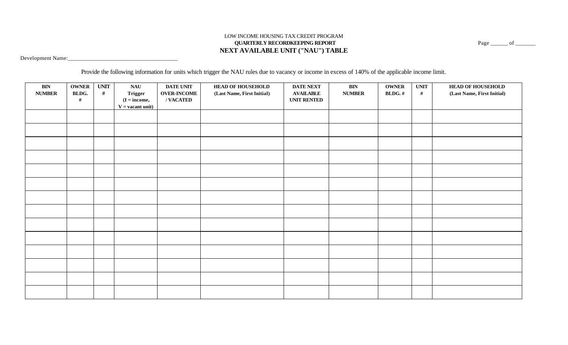#### LOW INCOME HOUSING TAX CREDIT PROGRAM **QUARTERLY RECORDKEEPING REPORT** Page \_\_\_\_\_\_ of \_\_\_\_\_\_\_ **NEXT AVAILABLE UNIT ("NAU") TABLE**

Development Name:\_\_\_\_\_\_\_\_\_\_\_\_\_\_\_\_\_\_\_\_\_\_\_\_\_\_\_\_\_\_\_\_\_\_\_\_\_\_

Provide the following information for units which trigger the NAU rules due to vacancy or income in excess of 140% of the applicable income limit.

| $\mathbf{BIN}$<br><b>NUMBER</b> | <b>OWNER</b><br>BLDG.<br># | <b>UNIT</b><br># | NAU<br>Trigger<br>$(I = income,$<br>$V =$ vacant unit) | <b>DATE UNIT</b><br><b>OVER-INCOME</b><br>/VACATED | <b>HEAD OF HOUSEHOLD</b><br>(Last Name, First Initial) | <b>DATE NEXT</b><br><b>AVAILABLE</b><br><b>UNIT RENTED</b> | $\mathbf{BIN}$<br><b>NUMBER</b> | <b>OWNER</b><br>BLDG.# | <b>UNIT</b><br>$\#$ | <b>HEAD OF HOUSEHOLD</b><br>(Last Name, First Initial) |
|---------------------------------|----------------------------|------------------|--------------------------------------------------------|----------------------------------------------------|--------------------------------------------------------|------------------------------------------------------------|---------------------------------|------------------------|---------------------|--------------------------------------------------------|
|                                 |                            |                  |                                                        |                                                    |                                                        |                                                            |                                 |                        |                     |                                                        |
|                                 |                            |                  |                                                        |                                                    |                                                        |                                                            |                                 |                        |                     |                                                        |
|                                 |                            |                  |                                                        |                                                    |                                                        |                                                            |                                 |                        |                     |                                                        |
|                                 |                            |                  |                                                        |                                                    |                                                        |                                                            |                                 |                        |                     |                                                        |
|                                 |                            |                  |                                                        |                                                    |                                                        |                                                            |                                 |                        |                     |                                                        |
|                                 |                            |                  |                                                        |                                                    |                                                        |                                                            |                                 |                        |                     |                                                        |
|                                 |                            |                  |                                                        |                                                    |                                                        |                                                            |                                 |                        |                     |                                                        |
|                                 |                            |                  |                                                        |                                                    |                                                        |                                                            |                                 |                        |                     |                                                        |
|                                 |                            |                  |                                                        |                                                    |                                                        |                                                            |                                 |                        |                     |                                                        |
|                                 |                            |                  |                                                        |                                                    |                                                        |                                                            |                                 |                        |                     |                                                        |
|                                 |                            |                  |                                                        |                                                    |                                                        |                                                            |                                 |                        |                     |                                                        |
|                                 |                            |                  |                                                        |                                                    |                                                        |                                                            |                                 |                        |                     |                                                        |
|                                 |                            |                  |                                                        |                                                    |                                                        |                                                            |                                 |                        |                     |                                                        |
|                                 |                            |                  |                                                        |                                                    |                                                        |                                                            |                                 |                        |                     |                                                        |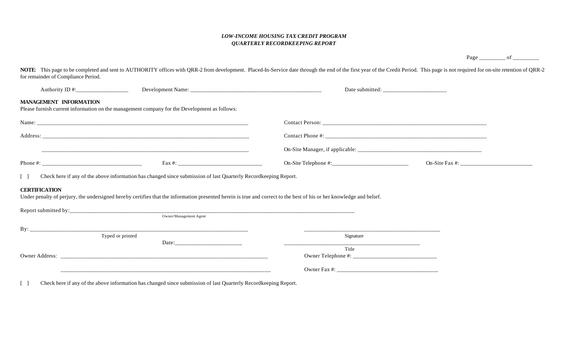#### *LOW-INCOME HOUSING TAX CREDIT PROGRAM QUARTERLY RECORDKEEPING REPORT*

Page \_\_\_\_\_\_\_\_\_\_\_ of \_\_\_\_\_\_

NOTE: This page to be completed and sent to AUTHORITY offices with QRR-2 from development. Placed-In-Service date through the end of the first year of the Credit Period. This page is not required for on-site retention of Q for remainder of Compliance Period.

| Authority ID #:_____________________ |                                                                                                                 |                                                                                                                                                                      | Date submitted: |  |
|--------------------------------------|-----------------------------------------------------------------------------------------------------------------|----------------------------------------------------------------------------------------------------------------------------------------------------------------------|-----------------|--|
| <b>MANAGEMENT INFORMATION</b>        | Please furnish current information on the management company for the Development as follows:                    |                                                                                                                                                                      |                 |  |
|                                      |                                                                                                                 |                                                                                                                                                                      |                 |  |
|                                      |                                                                                                                 |                                                                                                                                                                      |                 |  |
|                                      |                                                                                                                 |                                                                                                                                                                      |                 |  |
|                                      |                                                                                                                 |                                                                                                                                                                      |                 |  |
|                                      | Check here if any of the above information has changed since submission of last Quarterly Recordkeeping Report. |                                                                                                                                                                      |                 |  |
| <b>CERTIFICATION</b>                 |                                                                                                                 | Under penalty of perjury, the undersigned hereby certifies that the information presented herein is true and correct to the best of his or her knowledge and belief. |                 |  |
|                                      |                                                                                                                 |                                                                                                                                                                      |                 |  |
|                                      | Owner/Management Agent                                                                                          |                                                                                                                                                                      |                 |  |
|                                      |                                                                                                                 |                                                                                                                                                                      |                 |  |
|                                      | Typed or printed                                                                                                | Signature<br>____________________________                                                                                                                            |                 |  |
|                                      |                                                                                                                 | Title                                                                                                                                                                |                 |  |
|                                      |                                                                                                                 |                                                                                                                                                                      |                 |  |
|                                      |                                                                                                                 |                                                                                                                                                                      |                 |  |
|                                      | and the company of the company of the company of the company of the company of the company of the company of th |                                                                                                                                                                      |                 |  |

[ ] Check here if any of the above information has changed since submission of last Quarterly Recordkeeping Report.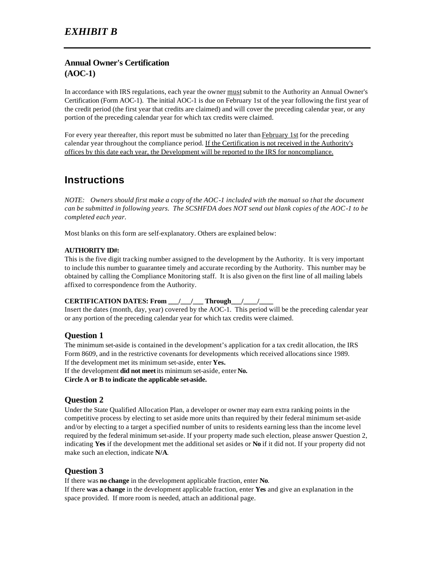# **Annual Owner's Certification (AOC-1)**

In accordance with IRS regulations, each year the owner must submit to the Authority an Annual Owner's Certification (Form AOC-1). The initial AOC-1 is due on February 1st of the year following the first year of the credit period (the first year that credits are claimed) and will cover the preceding calendar year, or any portion of the preceding calendar year for which tax credits were claimed.

For every year thereafter, this report must be submitted no later than February 1st for the preceding calendar year throughout the compliance period. If the Certification is not received in the Authority's offices by this date each year, the Development will be reported to the IRS for noncompliance.

# **Instructions**

*NOTE: Owners should first make a copy of the AOC-1 included with the manual so that the document can be submitted in following years. The SCSHFDA does NOT send out blank copies of the AOC-1 to be completed each year.*

Most blanks on this form are self-explanatory. Others are explained below:

#### **AUTHORITY ID#:**

This is the five digit tracking number assigned to the development by the Authority. It is very important to include this number to guarantee timely and accurate recording by the Authority. This number may be obtained by calling the Compliance Monitoring staff. It is also given on the first line of all mailing labels affixed to correspondence from the Authority.

#### **CERTIFICATION DATES: From \_\_\_/\_\_\_/\_\_\_ Through\_\_\_/\_\_\_\_/\_\_\_\_**

Insert the dates (month, day, year) covered by the AOC-1. This period will be the preceding calendar year or any portion of the preceding calendar year for which tax credits were claimed.

#### **Question 1**

The minimum set-aside is contained in the development's application for a tax credit allocation, the IRS Form 8609, and in the restrictive covenants for developments which received allocations since 1989. If the development met its minimum set-aside, enter **Yes.**

If the development **did not meet** its minimum set-aside, enter **No.**

**Circle A or B to indicate the applicable set-aside.**

#### **Question 2**

Under the State Qualified Allocation Plan, a developer or owner may earn extra ranking points in the competitive process by electing to set aside more units than required by their federal minimum set-aside and/or by electing to a target a specified number of units to residents earning less than the income level required by the federal minimum set-aside. If your property made such election, please answer Question 2, indicating **Yes** if the development met the additional set asides or **No** if it did not. If your property did not make such an election, indicate **N/A**.

#### **Question 3**

If there was **no change** in the development applicable fraction, enter **No**.

If there **was a change** in the development applicable fraction, enter **Yes** and give an explanation in the space provided. If more room is needed, attach an additional page.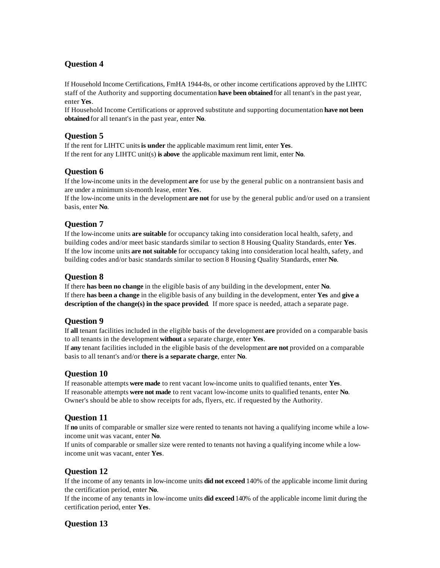# **Question 4**

If Household Income Certifications, FmHA 1944-8s, or other income certifications approved by the LIHTC staff of the Authority and supporting documentation **have been obtained** for all tenant's in the past year, enter **Yes**.

If Household Income Certifications or approved substitute and supporting documentation **have not been obtained** for all tenant's in the past year, enter **No**.

## **Question 5**

If the rent for LIHTC units **is under** the applicable maximum rent limit, enter **Yes**. If the rent for any LIHTC unit(s) **is above** the applicable maximum rent limit, enter **No**.

## **Question 6**

If the low-income units in the development **are** for use by the general public on a nontransient basis and are under a minimum six-month lease, enter **Yes**.

If the low-income units in the development **are not** for use by the general public and/or used on a transient basis, enter **No**.

#### **Question 7**

If the low-income units **are suitable** for occupancy taking into consideration local health, safety, and building codes and/or meet basic standards similar to section 8 Housing Quality Standards, enter **Yes**. If the low income units **are not suitable** for occupancy taking into consideration local health, safety, and building codes and/or basic standards similar to section 8 Housing Quality Standards, enter **No**.

## **Question 8**

If there **has been no change** in the eligible basis of any building in the development, enter **No**. If there **has been a change** in the eligible basis of any building in the development, enter **Yes** and **give a description of the change(s) in the space provided**. If more space is needed, attach a separate page.

#### **Question 9**

If **all** tenant facilities included in the eligible basis of the development **are** provided on a comparable basis to all tenants in the development **without** a separate charge, enter **Yes**.

If **any** tenant facilities included in the eligible basis of the development **are not** provided on a comparable basis to all tenant's and/or **there is a separate charge**, enter **No**.

#### **Question 10**

If reasonable attempts **were made** to rent vacant low-income units to qualified tenants, enter **Yes**. If reasonable attempts **were not made** to rent vacant low-income units to qualified tenants, enter **No**. Owner's should be able to show receipts for ads, flyers, etc. if requested by the Authority.

#### **Question 11**

If **no** units of comparable or smaller size were rented to tenants not having a qualifying income while a lowincome unit was vacant, enter **No**.

If units of comparable or smaller size were rented to tenants not having a qualifying income while a lowincome unit was vacant, enter **Yes**.

#### **Question 12**

If the income of any tenants in low-income units **did not exceed** 140% of the applicable income limit during the certification period, enter **No**.

If the income of any tenants in low-income units **did exceed** 140% of the applicable income limit during the certification period, enter **Yes**.

#### **Question 13**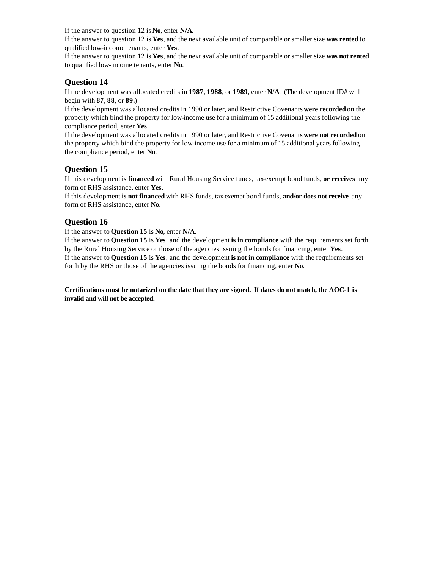If the answer to question 12 is **No**, enter **N/A**.

If the answer to question 12 is **Yes**, and the next available unit of comparable or smaller size **was rented** to qualified low-income tenants, enter **Yes**.

If the answer to question 12 is **Yes**, and the next available unit of comparable or smaller size **was not rented** to qualified low-income tenants, enter **No**.

#### **Question 14**

If the development was allocated credits in **1987**, **1988**, or **1989**, enter **N/A**. (The development ID# will begin with **87**, **88**, or **89.**)

If the development was allocated credits in 1990 or later, and Restrictive Covenants **were recorded** on the property which bind the property for low-income use for a minimum of 15 additional years following the compliance period, enter **Yes**.

If the development was allocated credits in 1990 or later, and Restrictive Covenants **were not recorded** on the property which bind the property for low-income use for a minimum of 15 additional years following the compliance period, enter **No**.

#### **Question 15**

If this development **is financed** with Rural Housing Service funds, tax-exempt bond funds, **or receives** any form of RHS assistance, enter **Yes**.

If this development **is not financed** with RHS funds, tax-exempt bond funds, **and/or does not receive** any form of RHS assistance, enter **No**.

#### **Question 16**

If the answer to **Question 15** is **No**, enter **N/A**.

If the answer to **Question 15** is **Yes**, and the development **is in compliance** with the requirements set forth by the Rural Housing Service or those of the agencies issuing the bonds for financing, enter **Yes**. If the answer to **Question 15** is **Yes**, and the development **is not in compliance** with the requirements set forth by the RHS or those of the agencies issuing the bonds for financing, enter **No**.

**Certifications must be notarized on the date that they are signed. If dates do not match, the AOC-1 is invalid and will not be accepted.**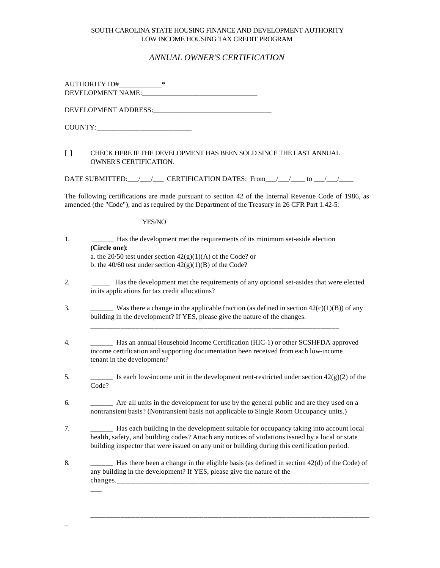#### SOUTH CAROLINA STATE HOUSING FINANCE AND DEVELOPMENT AUTHORITY LOW INCOME HOUSING TAX CREDIT PROGRAM

#### *ANNUAL OWNER'S CERTIFICATION*

AUTHORITY ID#\_\_\_\_\_\_\_\_\_\_\_\_\_\_\_\_\_\* DEVELOPMENT NAME:\_\_\_\_\_\_\_\_\_\_\_\_\_\_\_\_\_\_\_\_\_\_\_\_\_\_\_\_\_\_\_\_

DEVELOPMENT ADDRESS:\_\_\_\_\_\_\_\_\_\_\_\_\_\_\_\_\_\_\_\_\_\_\_\_\_\_\_\_\_\_\_\_\_

COUNTY:\_\_\_\_\_\_\_\_\_\_\_\_\_\_\_\_\_\_\_\_\_\_\_\_\_\_

\_

#### [ ] CHECK HERE IF THE DEVELOPMENT HAS BEEN SOLD SINCE THE LAST ANNUAL OWNER'S CERTIFICATION.

DATE SUBMITTED: \_\_\_/\_\_\_\_/ \_\_\_\_ CERTIFICATION DATES: From \_\_\_/\_\_\_/ \_\_\_\_ to \_\_\_/\_\_\_/

The following certifications are made pursuant to section 42 of the Internal Revenue Code of 1986, as amended (the "Code"), and as required by the Department of the Treasury in 26 CFR Part 1.42-5:

YES/NO

| Has the development met the requirements of its minimum set-aside election                                                                                                                                                                                                                |
|-------------------------------------------------------------------------------------------------------------------------------------------------------------------------------------------------------------------------------------------------------------------------------------------|
| (Circle one):<br>a. the 20/50 test under section $42(g)(1)(A)$ of the Code? or<br>b. the 40/60 test under section $42(g)(1)(B)$ of the Code?                                                                                                                                              |
| Has the development met the requirements of any optional set-asides that were elected<br>in its applications for tax credit allocations?                                                                                                                                                  |
| Was there a change in the applicable fraction (as defined in section $42(c)(1)(B)$ ) of any<br>building in the development? If YES, please give the nature of the changes.                                                                                                                |
| _____ Has an annual Household Income Certification (HIC-1) or other SCSHFDA approved<br>income certification and supporting documentation been received from each low-income<br>tenant in the development?                                                                                |
| Is each low-income unit in the development rent-restricted under section $42(g)(2)$ of the<br>Code?                                                                                                                                                                                       |
| Are all units in the development for use by the general public and are they used on a<br>nontransient basis? (Nontransient basis not applicable to Single Room Occupancy units.)                                                                                                          |
| Has each building in the development suitable for occupancy taking into account local<br>health, safety, and building codes? Attach any notices of violations issued by a local or state<br>building inspector that were issued on any unit or building during this certification period. |
| Has there been a change in the eligible basis (as defined in section 42(d) of the Code) of<br>any building in the development? If YES, please give the nature of the                                                                                                                      |

\_\_\_\_\_\_\_\_\_\_\_\_\_\_\_\_\_\_\_\_\_\_\_\_\_\_\_\_\_\_\_\_\_\_\_\_\_\_\_\_\_\_\_\_\_\_\_\_\_\_\_\_\_\_\_\_\_\_\_\_\_\_\_\_\_\_\_\_\_\_\_\_\_\_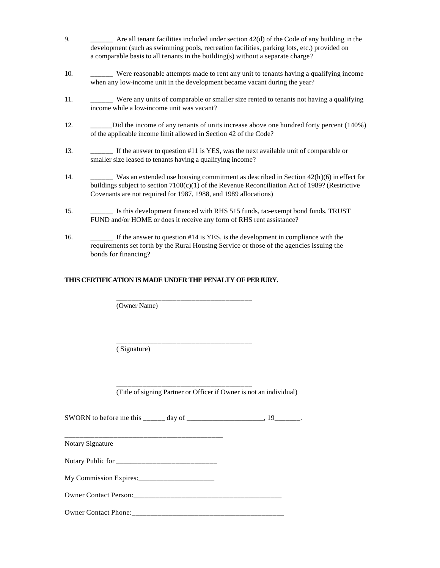- 9. \_\_\_\_\_\_ Are all tenant facilities included under section 42(d) of the Code of any building in the development (such as swimming pools, recreation facilities, parking lots, etc.) provided on a comparable basis to all tenants in the building(s) without a separate charge?
- 10. \_\_\_\_\_\_ Were reasonable attempts made to rent any unit to tenants having a qualifying income when any low-income unit in the development became vacant during the year?
- 11. \_\_\_\_\_\_ Were any units of comparable or smaller size rented to tenants not having a qualifying income while a low-income unit was vacant?
- 12. Did the income of any tenants of units increase above one hundred forty percent (140%) of the applicable income limit allowed in Section 42 of the Code?
- 13. \_\_\_\_\_\_ If the answer to question #11 is YES, was the next available unit of comparable or smaller size leased to tenants having a qualifying income?
- 14. \_\_\_\_\_\_ Was an extended use housing commitment as described in Section 42(h)(6) in effect for buildings subject to section 7108(c)(1) of the Revenue Reconciliation Act of 1989? (Restrictive Covenants are not required for 1987, 1988, and 1989 allocations)
- 15. \_\_\_\_\_\_ Is this development financed with RHS 515 funds, tax-exempt bond funds, TRUST FUND and/or HOME or does it receive any form of RHS rent assistance?
- 16. \_\_\_\_\_\_ If the answer to question #14 is YES, is the development in compliance with the requirements set forth by the Rural Housing Service or those of the agencies issuing the bonds for financing?

#### **THIS CERTIFICATION IS MADE UNDER THE PENALTY OF PERJURY.**

\_\_\_\_\_\_\_\_\_\_\_\_\_\_\_\_\_\_\_\_\_\_\_\_\_\_\_\_\_\_\_\_\_\_\_\_

\_\_\_\_\_\_\_\_\_\_\_\_\_\_\_\_\_\_\_\_\_\_\_\_\_\_\_\_\_\_\_\_\_\_\_\_

(Owner Name)

( Signature)

(Title of signing Partner or Officer if Owner is not an individual)

SWORN to before me this \_\_\_\_\_\_ day of \_\_\_\_\_\_\_\_\_\_\_\_\_\_\_\_\_\_\_, 19\_\_\_\_\_\_\_.

\_\_\_\_\_\_\_\_\_\_\_\_\_\_\_\_\_\_\_\_\_\_\_\_\_\_\_\_\_\_\_\_\_\_\_\_

Notary Signature

Notary Public for \_\_\_\_\_\_\_\_\_\_\_\_\_\_\_\_\_\_\_\_\_\_\_\_\_\_\_

\_\_\_\_\_\_\_\_\_\_\_\_\_\_\_\_\_\_\_\_\_\_\_\_\_\_\_\_\_\_\_\_\_\_\_\_\_\_\_\_\_\_

My Commission Expires:

Owner Contact Person:

Owner Contact Phone:\_\_\_\_\_\_\_\_\_\_\_\_\_\_\_\_\_\_\_\_\_\_\_\_\_\_\_\_\_\_\_\_\_\_\_\_\_\_\_\_\_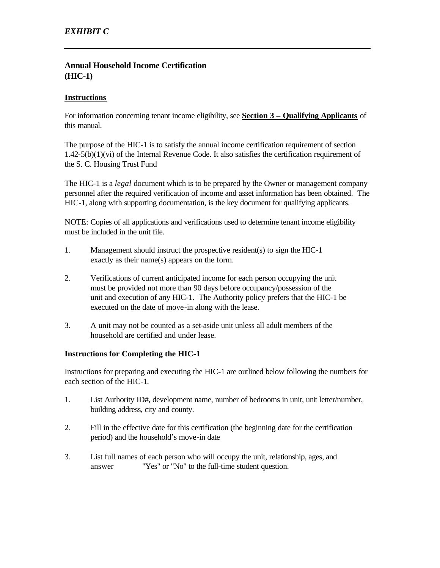# **Annual Household Income Certification (HIC-1)**

#### **Instructions**

For information concerning tenant income eligibility, see **Section 3 – Qualifying Applicants** of this manual.

The purpose of the HIC-1 is to satisfy the annual income certification requirement of section 1.42-5(b)(1)(vi) of the Internal Revenue Code. It also satisfies the certification requirement of the S. C. Housing Trust Fund

The HIC-1 is a *legal* document which is to be prepared by the Owner or management company personnel after the required verification of income and asset information has been obtained. The HIC-1, along with supporting documentation, is the key document for qualifying applicants.

NOTE: Copies of all applications and verifications used to determine tenant income eligibility must be included in the unit file.

- 1. Management should instruct the prospective resident(s) to sign the HIC-1 exactly as their name(s) appears on the form.
- 2. Verifications of current anticipated income for each person occupying the unit must be provided not more than 90 days before occupancy/possession of the unit and execution of any HIC-1. The Authority policy prefers that the HIC-1 be executed on the date of move-in along with the lease.
- 3. A unit may not be counted as a set-aside unit unless all adult members of the household are certified and under lease.

#### **Instructions for Completing the HIC-1**

Instructions for preparing and executing the HIC-1 are outlined below following the numbers for each section of the HIC-1.

- 1. List Authority ID#, development name, number of bedrooms in unit, unit letter/number, building address, city and county.
- 2. Fill in the effective date for this certification (the beginning date for the certification period) and the household's move-in date
- 3. List full names of each person who will occupy the unit, relationship, ages, and answer "Yes" or "No" to the full-time student question.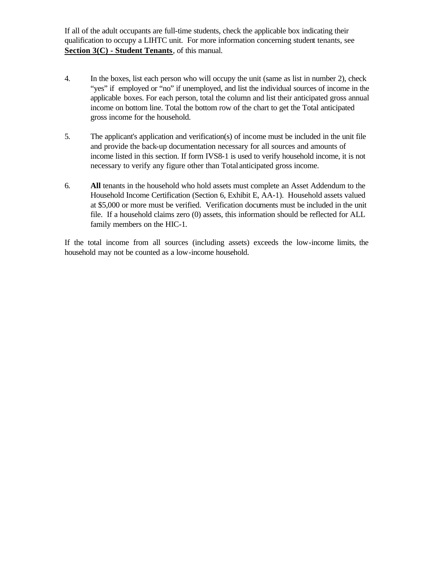If all of the adult occupants are full-time students, check the applicable box indicating their qualification to occupy a LIHTC unit. For more information concerning student tenants, see **Section 3(C) - Student Tenants**, of this manual.

- 4. In the boxes, list each person who will occupy the unit (same as list in number 2), check "yes" if employed or "no" if unemployed, and list the individual sources of income in the applicable boxes. For each person, total the column and list their anticipated gross annual income on bottom line. Total the bottom row of the chart to get the Total anticipated gross income for the household.
- 5. The applicant's application and verification(s) of income must be included in the unit file and provide the back-up documentation necessary for all sources and amounts of income listed in this section. If form IVS8-1 is used to verify household income, it is not necessary to verify any figure other than Total anticipated gross income.
- 6. **All** tenants in the household who hold assets must complete an Asset Addendum to the Household Income Certification (Section 6, Exhibit E, AA-1). Household assets valued at \$5,000 or more must be verified. Verification documents must be included in the unit file. If a household claims zero (0) assets, this information should be reflected for ALL family members on the HIC-1.

If the total income from all sources (including assets) exceeds the low-income limits, the household may not be counted as a low-income household.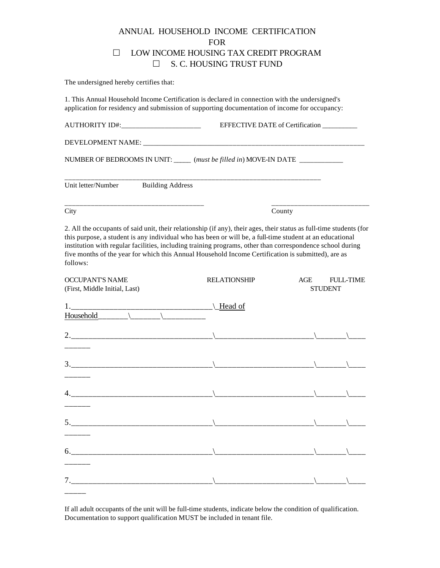# ANNUAL HOUSEHOLD INCOME CERTIFICATION FOR □ LOW INCOME HOUSING TAX CREDIT PROGRAM  $\square$  S. C. HOUSING TRUST FUND

The undersigned hereby certifies that:

\_\_\_\_\_\_

 $7.$ \_\_\_\_\_

 $6.$ 

1. This Annual Household Income Certification is declared in connection with the undersigned's application for residency and submission of supporting documentation of income for occupancy:

|                                                                                                                                                                                                                                                                                                                                                                                                                                                                | EFFECTIVE DATE of Certification |                                           |  |  |  |
|----------------------------------------------------------------------------------------------------------------------------------------------------------------------------------------------------------------------------------------------------------------------------------------------------------------------------------------------------------------------------------------------------------------------------------------------------------------|---------------------------------|-------------------------------------------|--|--|--|
|                                                                                                                                                                                                                                                                                                                                                                                                                                                                |                                 |                                           |  |  |  |
| NUMBER OF BEDROOMS IN UNIT: ______ (must be filled in) MOVE-IN DATE ____________                                                                                                                                                                                                                                                                                                                                                                               |                                 |                                           |  |  |  |
| Unit letter/Number<br><b>Building Address</b>                                                                                                                                                                                                                                                                                                                                                                                                                  |                                 |                                           |  |  |  |
| City                                                                                                                                                                                                                                                                                                                                                                                                                                                           |                                 | County                                    |  |  |  |
| 2. All the occupants of said unit, their relationship (if any), their ages, their status as full-time students (for<br>this purpose, a student is any individual who has been or will be, a full-time student at an educational<br>institution with regular facilities, including training programs, other than correspondence school during<br>five months of the year for which this Annual Household Income Certification is submitted), are as<br>follows: |                                 |                                           |  |  |  |
| <b>OCCUPANT'S NAME</b><br>(First, Middle Initial, Last)                                                                                                                                                                                                                                                                                                                                                                                                        | <b>RELATIONSHIP</b>             | AGE<br><b>FULL-TIME</b><br><b>STUDENT</b> |  |  |  |
|                                                                                                                                                                                                                                                                                                                                                                                                                                                                |                                 |                                           |  |  |  |
|                                                                                                                                                                                                                                                                                                                                                                                                                                                                |                                 |                                           |  |  |  |
|                                                                                                                                                                                                                                                                                                                                                                                                                                                                |                                 |                                           |  |  |  |
|                                                                                                                                                                                                                                                                                                                                                                                                                                                                |                                 |                                           |  |  |  |

If all adult occupants of the unit will be full-time students, indicate below the condition of qualification. Documentation to support qualification MUST be included in tenant file.

5.\_\_\_\_\_\_\_\_\_\_\_\_\_\_\_\_\_\_\_\_\_\_\_\_\_\_\_\_\_\_\_\_\_\\_\_\_\_\_\_\_\_\_\_\_\_\_\_\_\_\_\_\_\_\_\_\_\\_\_\_\_\_\_\_\\_\_\_\_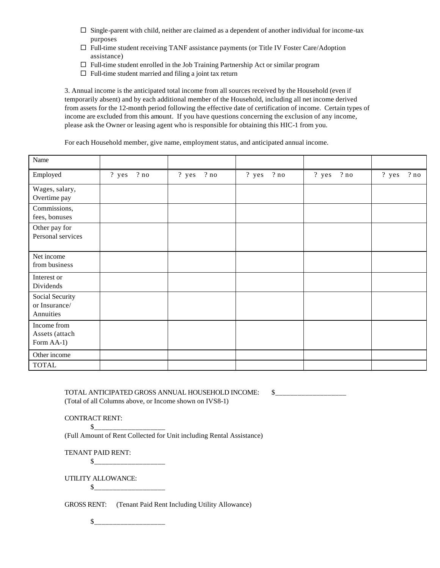- $\Box$  Single-parent with child, neither are claimed as a dependent of another individual for income-tax purposes
- $\square$  Full-time student receiving TANF assistance payments (or Title IV Foster Care/Adoption assistance)
- $\Box$  Full-time student enrolled in the Job Training Partnership Act or similar program
- $\Box$  Full-time student married and filing a joint tax return

3. Annual income is the anticipated total income from all sources received by the Household (even if temporarily absent) and by each additional member of the Household, including all net income derived from assets for the 12-month period following the effective date of certification of income. Certain types of income are excluded from this amount. If you have questions concerning the exclusion of any income, please ask the Owner or leasing agent who is responsible for obtaining this HIC-1 from you.

For each Household member, give name, employment status, and anticipated annual income.

| Name                                          |                 |                |            |               |              |
|-----------------------------------------------|-----------------|----------------|------------|---------------|--------------|
| Employed                                      | $?$ yes<br>? no | $?$ yes<br>?no | ? yes ? no | ? yes<br>? no | ? yes<br>?no |
| Wages, salary,<br>Overtime pay                |                 |                |            |               |              |
| Commissions,<br>fees, bonuses                 |                 |                |            |               |              |
| Other pay for<br>Personal services            |                 |                |            |               |              |
| Net income<br>from business                   |                 |                |            |               |              |
| Interest or<br>Dividends                      |                 |                |            |               |              |
| Social Security<br>or Insurance/<br>Annuities |                 |                |            |               |              |
| Income from<br>Assets (attach<br>Form AA-1)   |                 |                |            |               |              |
| Other income                                  |                 |                |            |               |              |
| <b>TOTAL</b>                                  |                 |                |            |               |              |

TOTAL ANTICIPATED GROSS ANNUAL HOUSEHOLD INCOME: \$\_\_\_\_\_\_\_\_\_\_\_\_\_\_\_\_\_\_\_ (Total of all Columns above, or Income shown on IVS8-1)

CONTRACT RENT:

 $\mathbb{S}$ 

(Full Amount of Rent Collected for Unit including Rental Assistance)

TENANT PAID RENT:

\$\_\_\_\_\_\_\_\_\_\_\_\_\_\_\_\_\_\_\_

UTILITY ALLOWANCE:

\$\_\_\_\_\_\_\_\_\_\_\_\_\_\_\_\_\_\_\_

GROSS RENT: (Tenant Paid Rent Including Utility Allowance)

 $\circ$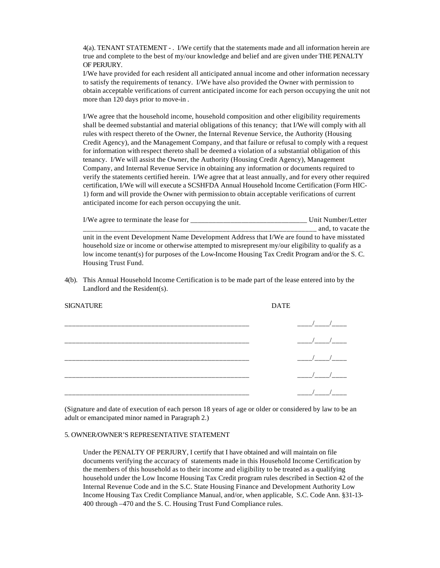4(a). TENANT STATEMENT - . I/We certify that the statements made and all information herein are true and complete to the best of my/our knowledge and belief and are given under THE PENALTY OF PERJURY.

I/We have provided for each resident all anticipated annual income and other information necessary to satisfy the requirements of tenancy. I/We have also provided the Owner with permission to obtain acceptable verifications of current anticipated income for each person occupying the unit not more than 120 days prior to move-in .

I/We agree that the household income, household composition and other eligibility requirements shall be deemed substantial and material obligations of this tenancy; that I/We will comply with all rules with respect thereto of the Owner, the Internal Revenue Service, the Authority (Housing Credit Agency), and the Management Company, and that failure or refusal to comply with a request for information with respect thereto shall be deemed a violation of a substantial obligation of this tenancy. I/We will assist the Owner, the Authority (Housing Credit Agency), Management Company, and Internal Revenue Service in obtaining any information or documents required to verify the statements certified herein. I/We agree that at least annually, and for every other required certification, I/We will will execute a SCSHFDA Annual Household Income Certification (Form HIC-1) form and will provide the Owner with permission to obtain acceptable verifications of current anticipated income for each person occupying the unit.

| I/We agree to terminate the lease for                                                              | Unit Number/Letter |
|----------------------------------------------------------------------------------------------------|--------------------|
|                                                                                                    | and, to vacate the |
| unit in the event Development Name Development Address that I/We are found to have misstated       |                    |
| household size or income or otherwise attempted to misrepresent my/our eligibility to qualify as a |                    |
| low income tenant(s) for purposes of the Low-Income Housing Tax Credit Program and/or the S.C.     |                    |
| Housing Trust Fund.                                                                                |                    |

4(b). This Annual Household Income Certification is to be made part of the lease entered into by the Landlord and the Resident(s).

| <b>SIGNATURE</b> | <b>DATE</b> |  |
|------------------|-------------|--|
|                  |             |  |
|                  |             |  |
|                  |             |  |
|                  |             |  |
|                  |             |  |

(Signature and date of execution of each person 18 years of age or older or considered by law to be an adult or emancipated minor named in Paragraph 2.)

#### 5. OWNER/OWNER'S REPRESENTATIVE STATEMENT

Under the PENALTY OF PERJURY, I certify that I have obtained and will maintain on file documents verifying the accuracy of statements made in this Household Income Certification by the members of this household as to their income and eligibility to be treated as a qualifying household under the Low Income Housing Tax Credit program rules described in Section 42 of the Internal Revenue Code and in the S.C. State Housing Finance and Development Authority Low Income Housing Tax Credit Compliance Manual, and/or, when applicable, S.C. Code Ann. §31-13- 400 through –470 and the S. C. Housing Trust Fund Compliance rules.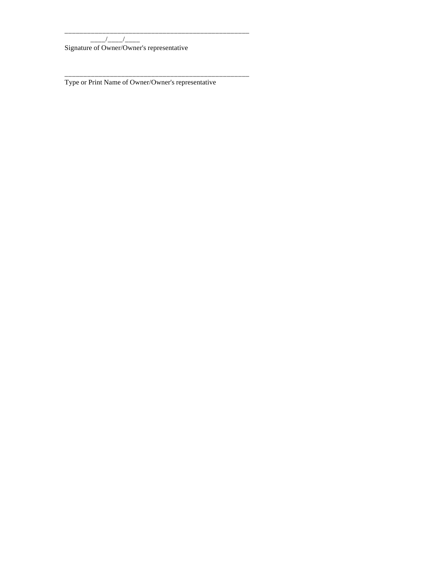\_\_\_\_/\_\_\_\_/\_\_\_\_\_

Signature of Owner/Owner's representative

Type or Print Name of Owner/Owner's representative

\_\_\_\_\_\_\_\_\_\_\_\_\_\_\_\_\_\_\_\_\_\_\_\_\_\_\_\_\_\_\_\_\_\_\_\_\_\_\_\_\_\_\_\_\_\_\_\_\_

\_\_\_\_\_\_\_\_\_\_\_\_\_\_\_\_\_\_\_\_\_\_\_\_\_\_\_\_\_\_\_\_\_\_\_\_\_\_\_\_\_\_\_\_\_\_\_\_\_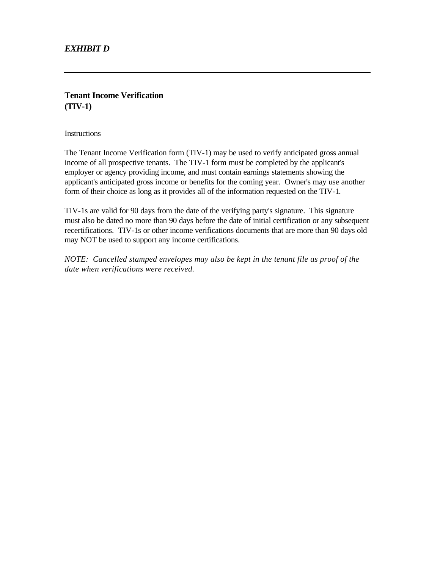# *EXHIBIT D*

## **Tenant Income Verification (TIV-1)**

**Instructions** 

The Tenant Income Verification form (TIV-1) may be used to verify anticipated gross annual income of all prospective tenants. The TIV-1 form must be completed by the applicant's employer or agency providing income, and must contain earnings statements showing the applicant's anticipated gross income or benefits for the coming year. Owner's may use another form of their choice as long as it provides all of the information requested on the TIV-1.

TIV-1s are valid for 90 days from the date of the verifying party's signature. This signature must also be dated no more than 90 days before the date of initial certification or any subsequent recertifications. TIV-1s or other income verifications documents that are more than 90 days old may NOT be used to support any income certifications.

*NOTE: Cancelled stamped envelopes may also be kept in the tenant file as proof of the date when verifications were received.*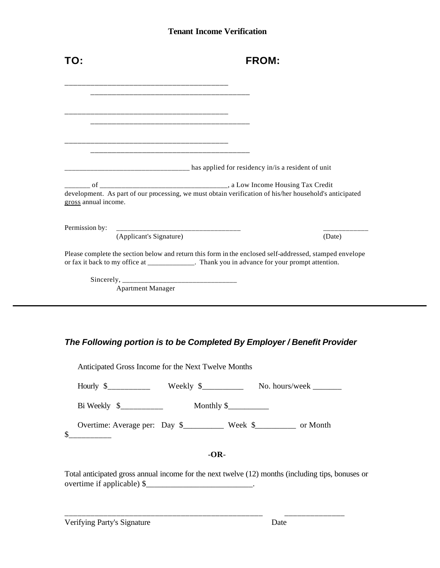# **Tenant Income Verification**

| TO:                                                                | <b>FROM:</b>                                                                                                                                                                                              |
|--------------------------------------------------------------------|-----------------------------------------------------------------------------------------------------------------------------------------------------------------------------------------------------------|
|                                                                    |                                                                                                                                                                                                           |
|                                                                    |                                                                                                                                                                                                           |
|                                                                    |                                                                                                                                                                                                           |
| <u> 2002 - Johann John Stone, Amerikan berlingan (</u>             |                                                                                                                                                                                                           |
|                                                                    |                                                                                                                                                                                                           |
|                                                                    |                                                                                                                                                                                                           |
|                                                                    | has applied for residency in/is a resident of unit                                                                                                                                                        |
|                                                                    |                                                                                                                                                                                                           |
|                                                                    | development. As part of our processing, we must obtain verification of his/her household's anticipated                                                                                                    |
|                                                                    |                                                                                                                                                                                                           |
| (Applicant's Signature)                                            | (Date)                                                                                                                                                                                                    |
|                                                                    | Please complete the section below and return this form in the enclosed self-addressed, stamped envelope<br>or fax it back to my office at ______________. Thank you in advance for your prompt attention. |
| gross annual income.<br>Permission by:<br><b>Apartment Manager</b> |                                                                                                                                                                                                           |

| Anticipated Gross Income for the Next Twelve Months                                                                                                                                                                                                                                                             |  |                              |                |  |
|-----------------------------------------------------------------------------------------------------------------------------------------------------------------------------------------------------------------------------------------------------------------------------------------------------------------|--|------------------------------|----------------|--|
| Hourly $\frac{1}{2}$ Weekly $\frac{1}{2}$                                                                                                                                                                                                                                                                       |  |                              | No. hours/week |  |
| Bi Weekly $\frac{1}{2}$ $\frac{1}{2}$ $\frac{1}{2}$ $\frac{1}{2}$ $\frac{1}{2}$ $\frac{1}{2}$ $\frac{1}{2}$ $\frac{1}{2}$ $\frac{1}{2}$ $\frac{1}{2}$ $\frac{1}{2}$ $\frac{1}{2}$ $\frac{1}{2}$ $\frac{1}{2}$ $\frac{1}{2}$ $\frac{1}{2}$ $\frac{1}{2}$ $\frac{1}{2}$ $\frac{1}{2}$ $\frac{1}{2}$ $\frac{1}{2}$ |  | Monthly $\frac{\sqrt{2}}{2}$ |                |  |
| Overtime: Average per: Day \$____________ Week \$___________ or Month                                                                                                                                                                                                                                           |  |                              |                |  |
|                                                                                                                                                                                                                                                                                                                 |  | -OR-                         |                |  |

Total anticipated gross annual income for the next twelve (12) months (including tips, bonuses or overtime if applicable) \$\_\_\_\_\_\_\_\_\_\_\_\_\_\_\_\_\_\_\_\_\_\_\_\_\_\_\_\_\_\_\_\_.

\_\_\_\_\_\_\_\_\_\_\_\_\_\_\_\_\_\_\_\_\_\_\_\_\_\_\_\_\_\_\_\_\_\_\_\_\_\_\_\_\_\_\_\_\_\_ \_\_\_\_\_\_\_\_\_\_\_\_\_\_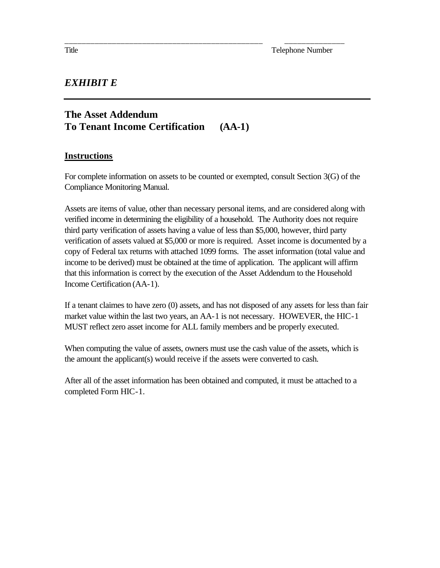# *EXHIBIT E*

# **The Asset Addendum To Tenant Income Certification (AA-1)**

# **Instructions**

For complete information on assets to be counted or exempted, consult Section 3(G) of the Compliance Monitoring Manual.

\_\_\_\_\_\_\_\_\_\_\_\_\_\_\_\_\_\_\_\_\_\_\_\_\_\_\_\_\_\_\_\_\_\_\_\_\_\_\_\_\_\_\_\_\_\_ \_\_\_\_\_\_\_\_\_\_\_\_\_\_

Assets are items of value, other than necessary personal items, and are considered along with verified income in determining the eligibility of a household. The Authority does not require third party verification of assets having a value of less than \$5,000, however, third party verification of assets valued at \$5,000 or more is required. Asset income is documented by a copy of Federal tax returns with attached 1099 forms. The asset information (total value and income to be derived) must be obtained at the time of application. The applicant will affirm that this information is correct by the execution of the Asset Addendum to the Household Income Certification (AA-1).

If a tenant claimes to have zero (0) assets, and has not disposed of any assets for less than fair market value within the last two years, an AA-1 is not necessary. HOWEVER, the HIC-1 MUST reflect zero asset income for ALL family members and be properly executed.

When computing the value of assets, owners must use the cash value of the assets, which is the amount the applicant(s) would receive if the assets were converted to cash.

After all of the asset information has been obtained and computed, it must be attached to a completed Form HIC-1.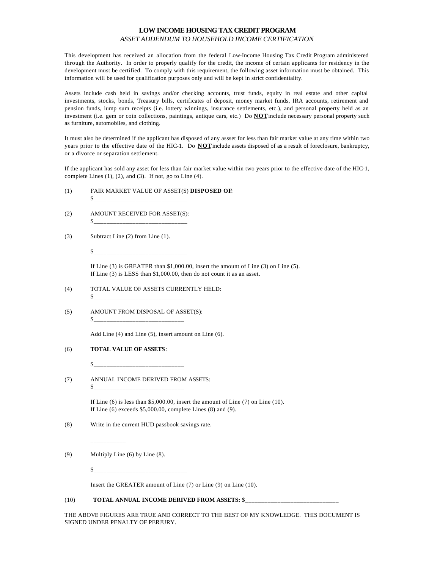#### **LOW INCOME HOUSING TAX CREDIT PROGRAM** *ASSET ADDENDUM TO HOUSEHOLD INCOME CERTIFICATION*

This development has received an allocation from the federal Low-Income Housing Tax Credit Program administered through the Authority. In order to properly qualify for the credit, the income of certain applicants for residency in the development must be certified. To comply with this requirement, the following asset information must be obtained. This information will be used for qualification purposes only and will be kept in strict confidentiality.

Assets include cash held in savings and/or checking accounts, trust funds, equity in real estate and other capital investments, stocks, bonds, Treasury bills, certificates of deposit, money market funds, IRA accounts, retirement and pension funds, lump sum receipts (i.e. lottery winnings, insurance settlements, etc.), and personal property held as an investment (i.e. gem or coin collections, paintings, antique cars, etc.) Do **NOT** include necessary personal property such as furniture, automobiles, and clothing.

It must also be determined if the applicant has disposed of any assset for less than fair market value at any time within two years prior to the effective date of the HIC-1. Do **NOT** include assets disposed of as a result of foreclosure, bankruptcy, or a divorce or separation settlement.

If the applicant has sold any asset for less than fair market value within two years prior to the effective date of the HIC-1, complete Lines  $(1)$ ,  $(2)$ , and  $(3)$ . If not, go to Line  $(4)$ .

(1) FAIR MARKET VALUE OF ASSET(S) **DISPOSED OF**:

 $\mathbb{S}$ 

- (2) AMOUNT RECEIVED FOR ASSET(S): \$\_\_\_\_\_\_\_\_\_\_\_\_\_\_\_\_\_\_\_\_\_\_\_\_\_\_\_\_\_
- (3) Subtract Line (2) from Line (1).

 $S_{---}$ 

If Line (3) is GREATER than \$1,000.00, insert the amount of Line (3) on Line (5). If Line (3) is LESS than \$1,000.00, then do not count it as an asset.

- (4) TOTAL VALUE OF ASSETS CURRENTLY HELD:
- (5) AMOUNT FROM DISPOSAL OF ASSET(S): \$\_\_\_\_\_\_\_\_\_\_\_\_\_\_\_\_\_\_\_\_\_\_\_\_\_\_\_\_

Add Line (4) and Line (5), insert amount on Line (6).

(6) **TOTAL VALUE OF ASSETS** :

\$\_\_\_\_\_\_\_\_\_\_\_\_\_\_\_\_\_\_\_\_\_\_\_\_\_\_\_\_

 $\mathbb{S}$   $\blacksquare$ 

(7) ANNUAL INCOME DERIVED FROM ASSETS: \$\_\_\_\_\_\_\_\_\_\_\_\_\_\_\_\_\_\_\_\_\_\_\_\_\_\_\_\_

> If Line  $(6)$  is less than \$5,000.00, insert the amount of Line  $(7)$  on Line  $(10)$ . If Line (6) exceeds \$5,000.00, complete Lines (8) and (9).

(8) Write in the current HUD passbook savings rate.

\_\_\_\_\_\_\_\_\_\_\_

- (9) Multiply Line (6) by Line (8).
	- \$\_\_\_\_\_\_\_\_\_\_\_\_\_\_\_\_\_\_\_\_\_\_\_\_\_\_\_\_\_

Insert the GREATER amount of Line (7) or Line (9) on Line (10).

#### (10) **TOTAL ANNUAL INCOME DERIVED FROM ASSETS: \$\_\_**

THE ABOVE FIGURES ARE TRUE AND CORRECT TO THE BEST OF MY KNOWLEDGE. THIS DOCUMENT IS SIGNED UNDER PENALTY OF PERJURY.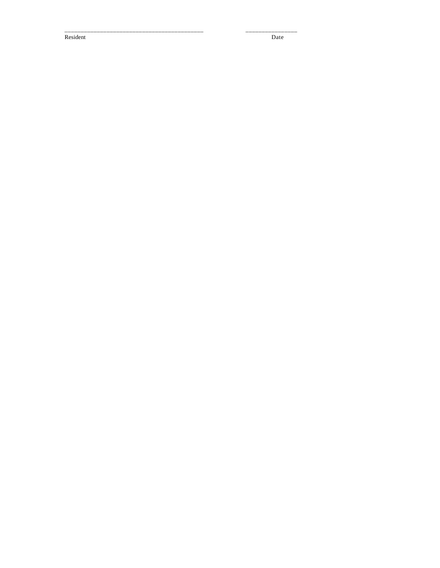Resident

Date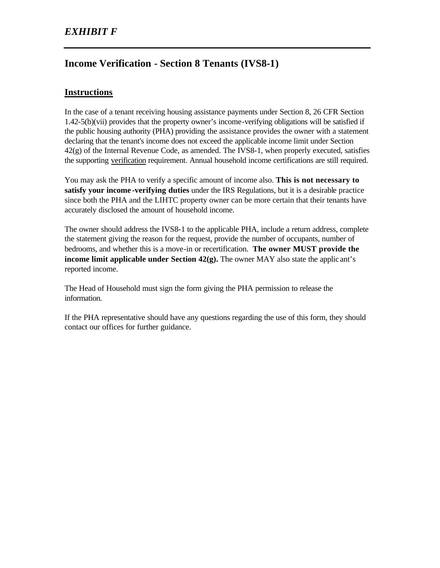# **Income Verification - Section 8 Tenants (IVS8-1)**

# **Instructions**

In the case of a tenant receiving housing assistance payments under Section 8, 26 CFR Section 1.42-5(b)(vii) provides that the property owner's income-verifying obligations will be satisfied if the public housing authority (PHA) providing the assistance provides the owner with a statement declaring that the tenant's income does not exceed the applicable income limit under Section  $42(g)$  of the Internal Revenue Code, as amended. The IVS8-1, when properly executed, satisfies the supporting verification requirement. Annual household income certifications are still required.

You may ask the PHA to verify a specific amount of income also. **This is not necessary to satisfy your income -verifying duties** under the IRS Regulations, but it is a desirable practice since both the PHA and the LIHTC property owner can be more certain that their tenants have accurately disclosed the amount of household income.

The owner should address the IVS8-1 to the applicable PHA, include a return address, complete the statement giving the reason for the request, provide the number of occupants, number of bedrooms, and whether this is a move-in or recertification. **The owner MUST provide the income limit applicable under Section 42(g).** The owner MAY also state the applic ant's reported income.

The Head of Household must sign the form giving the PHA permission to release the information.

If the PHA representative should have any questions regarding the use of this form, they should contact our offices for further guidance.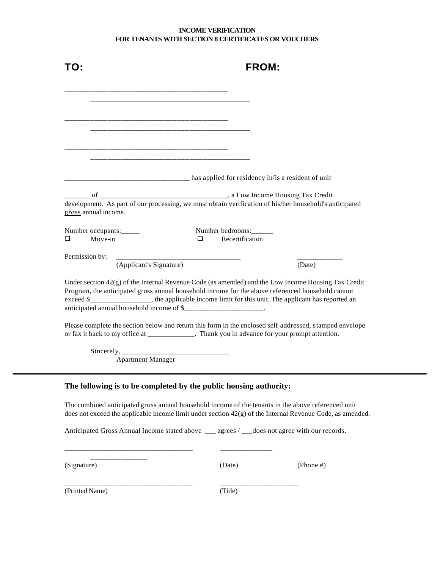#### **INCOME VERIFICATION FOR TENANTS WITH SECTION 8 CERTIFICATES OR VOUCHERS**

|                                                                                                                                                                                                                                                                                                                                                                                       | <b>FROM:</b>                                       |           |
|---------------------------------------------------------------------------------------------------------------------------------------------------------------------------------------------------------------------------------------------------------------------------------------------------------------------------------------------------------------------------------------|----------------------------------------------------|-----------|
|                                                                                                                                                                                                                                                                                                                                                                                       |                                                    |           |
|                                                                                                                                                                                                                                                                                                                                                                                       |                                                    |           |
|                                                                                                                                                                                                                                                                                                                                                                                       |                                                    |           |
|                                                                                                                                                                                                                                                                                                                                                                                       |                                                    |           |
|                                                                                                                                                                                                                                                                                                                                                                                       | has applied for residency in/is a resident of unit |           |
| development. As part of our processing, we must obtain verification of his/her household's anticipated<br>gross annual income.                                                                                                                                                                                                                                                        |                                                    |           |
| Number occupants:<br>Move-in<br>$\Box$                                                                                                                                                                                                                                                                                                                                                | Number bedrooms:<br>Recertification<br>◻           |           |
| Permission by:<br>_______________________________<br>(Applicant's Signature)                                                                                                                                                                                                                                                                                                          |                                                    | (Date)    |
| Under section $42(g)$ of the Internal Revenue Code (as amended) and the Low Income Housing Tax Credit<br>Program, the anticipated gross annual household income for the above referenced household cannot<br>exceed \$_________________, the applicable income limit for this unit. The applicant has reported an<br>anticipated annual household income of \$______________________. |                                                    |           |
| Please complete the section below and return this form in the enclosed self-addressed, stamped envelope<br>or fax it back to my office at _____________. Thank you in advance for your prompt attention.                                                                                                                                                                              |                                                    |           |
| <b>Apartment Manager</b>                                                                                                                                                                                                                                                                                                                                                              |                                                    |           |
| The following is to be completed by the public housing authority:                                                                                                                                                                                                                                                                                                                     |                                                    |           |
| The combined anticipated gross annual household income of the tenants in the above referenced unit<br>does not exceed the applicable income limit under section $42(g)$ of the Internal Revenue Code, as amended.                                                                                                                                                                     |                                                    |           |
| Anticipated Gross Annual Income stated above ___ agrees / __ does not agree with our records.                                                                                                                                                                                                                                                                                         |                                                    |           |
| (Signature)                                                                                                                                                                                                                                                                                                                                                                           | (Date)                                             | (Phone #) |
| (Printed Name)                                                                                                                                                                                                                                                                                                                                                                        | (Title)                                            |           |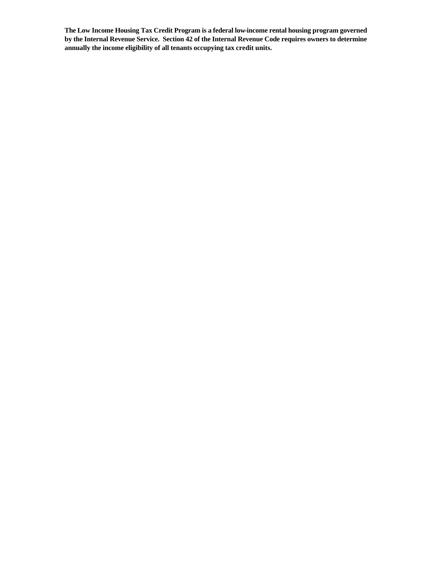**The Low Income Housing Tax Credit Program is a federal low-income rental housing program governed by the Internal Revenue Service. Section 42 of the Internal Revenue Code requires owners to determine annually the income eligibility of all tenants occupying tax credit units.**